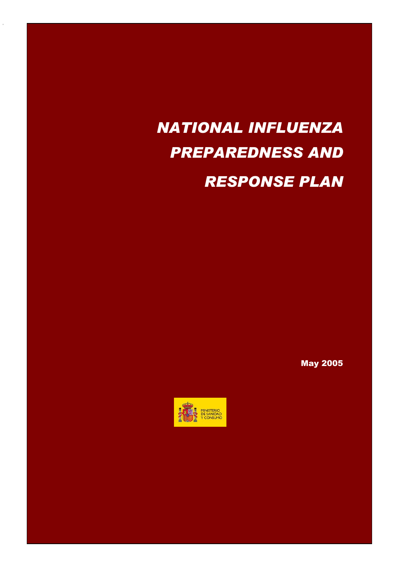# *NATIONAL INFLUENZA PREPAREDNESS AND RESPONSE PLAN*

2

May 2005

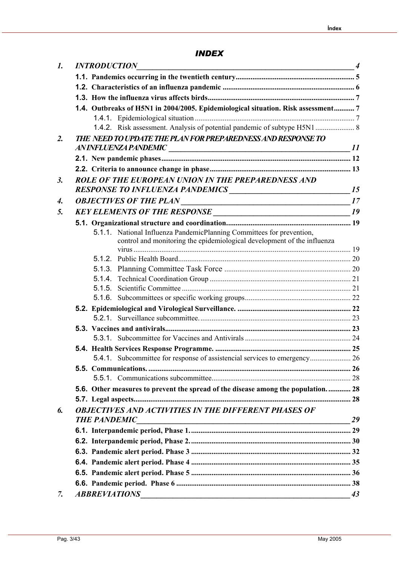# *INDEX*

| $\boldsymbol{l}$ . |  | <b>INTRODUCTION</b><br>$\sim$ 4                                                                                                               |    |
|--------------------|--|-----------------------------------------------------------------------------------------------------------------------------------------------|----|
|                    |  |                                                                                                                                               |    |
|                    |  |                                                                                                                                               |    |
|                    |  |                                                                                                                                               |    |
|                    |  | 1.4. Outbreaks of H5N1 in 2004/2005. Epidemiological situation. Risk assessment 7                                                             |    |
|                    |  |                                                                                                                                               |    |
|                    |  | 1.4.2. Risk assessment. Analysis of potential pandemic of subtype H5N1  8                                                                     |    |
| $\overline{2}$ .   |  | THE NEED TO UPDATE THE PLAN FOR PREPAREDNESS AND RESPONSE TO                                                                                  |    |
|                    |  |                                                                                                                                               |    |
|                    |  |                                                                                                                                               |    |
|                    |  |                                                                                                                                               |    |
| $\mathfrak{Z}$ .   |  | ROLE OF THE EUROPEAN UNION IN THE PREPAREDNESS AND                                                                                            |    |
|                    |  |                                                                                                                                               |    |
| 4.                 |  |                                                                                                                                               |    |
| 5.                 |  | KEY ELEMENTS OF THE RESPONSE 19                                                                                                               |    |
|                    |  |                                                                                                                                               |    |
|                    |  | 5.1.1. National Influenza PandemicPlanning Committees for prevention,                                                                         |    |
|                    |  | control and monitoring the epidemiological development of the influenza                                                                       |    |
|                    |  |                                                                                                                                               |    |
|                    |  |                                                                                                                                               |    |
|                    |  |                                                                                                                                               |    |
|                    |  |                                                                                                                                               |    |
|                    |  |                                                                                                                                               |    |
|                    |  |                                                                                                                                               |    |
|                    |  |                                                                                                                                               |    |
|                    |  |                                                                                                                                               |    |
|                    |  |                                                                                                                                               |    |
|                    |  |                                                                                                                                               |    |
|                    |  |                                                                                                                                               |    |
|                    |  |                                                                                                                                               |    |
|                    |  |                                                                                                                                               |    |
|                    |  | 5.6. Other measures to prevent the spread of the disease among the population 28                                                              |    |
|                    |  |                                                                                                                                               |    |
| 6.                 |  | <b>OBJECTIVES AND ACTIVITIES IN THE DIFFERENT PHASES OF</b>                                                                                   |    |
|                    |  | <b>THE PANDEMIC</b><br><u> 1989 - Jan Samuel Barbara, margaret eta idazlea (h. 1989).</u>                                                     | 29 |
|                    |  |                                                                                                                                               |    |
|                    |  |                                                                                                                                               |    |
|                    |  |                                                                                                                                               |    |
|                    |  |                                                                                                                                               |    |
|                    |  |                                                                                                                                               |    |
|                    |  |                                                                                                                                               |    |
| 7.                 |  | <b>ABBREVIATIONS</b><br><u> 1989 - Jan Sarajević, marski političar i postavlja i postavlja i postavlja i postavlja i postavlja i postavlj</u> | 43 |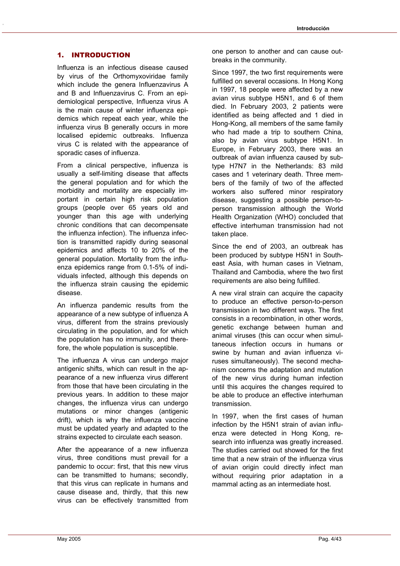#### 1. INTRODUCTION

Influenza is an infectious disease caused by virus of the Orthomyxoviridae family which include the genera Influenzavirus A and B and Influenzavirus C. From an epidemiological perspective, Influenza virus A is the main cause of winter influenza epidemics which repeat each year, while the influenza virus B generally occurs in more localised epidemic outbreaks. Influenza virus C is related with the appearance of sporadic cases of influenza.

From a clinical perspective, influenza is usually a self-limiting disease that affects the general population and for which the morbidity and mortality are especially important in certain high risk population groups (people over 65 years old and younger than this age with underlying chronic conditions that can decompensate the influenza infection). The influenza infection is transmitted rapidly during seasonal epidemics and affects 10 to 20% of the general population. Mortality from the influenza epidemics range from 0.1-5% of individuals infected, although this depends on the influenza strain causing the epidemic disease.

An influenza pandemic results from the appearance of a new subtype of influenza A virus, different from the strains previously circulating in the population, and for which the population has no immunity, and therefore, the whole population is susceptible.

The influenza A virus can undergo major antigenic shifts, which can result in the appearance of a new influenza virus different from those that have been circulating in the previous years. In addition to these major changes, the influenza virus can undergo mutations or minor changes (antigenic drift), which is why the influenza vaccine must be updated yearly and adapted to the strains expected to circulate each season.

After the appearance of a new influenza virus, three conditions must prevail for a pandemic to occur: first, that this new virus can be transmitted to humans; secondly, that this virus can replicate in humans and cause disease and, thirdly, that this new virus can be effectively transmitted from

one person to another and can cause outbreaks in the community.

Since 1997, the two first requirements were fulfilled on several occasions. In Hong Kong in 1997, 18 people were affected by a new avian virus subtype H5N1, and 6 of them died. In February 2003, 2 patients were identified as being affected and 1 died in Hong-Kong, all members of the same family who had made a trip to southern China, also by avian virus subtype H5N1. In Europe, in February 2003, there was an outbreak of avian influenza caused by subtype H7N7 in the Netherlands: 83 mild cases and 1 veterinary death. Three members of the family of two of the affected workers also suffered minor respiratory disease, suggesting a possible person-toperson transmission although the World Health Organization (WHO) concluded that effective interhuman transmission had not taken place.

Since the end of 2003, an outbreak has been produced by subtype H5N1 in Southeast Asia, with human cases in Vietnam, Thailand and Cambodia, where the two first requirements are also being fulfilled.

A new viral strain can acquire the capacity to produce an effective person-to-person transmission in two different ways. The first consists in a recombination, in other words, genetic exchange between human and animal viruses (this can occur when simultaneous infection occurs in humans or swine by human and avian influenza viruses simultaneously). The second mechanism concerns the adaptation and mutation of the new virus during human infection until this acquires the changes required to be able to produce an effective interhuman transmission.

In 1997, when the first cases of human infection by the H5N1 strain of avian influenza were detected in Hong Kong, research into influenza was greatly increased. The studies carried out showed for the first time that a new strain of the influenza virus of avian origin could directly infect man without requiring prior adaptation in a mammal acting as an intermediate host.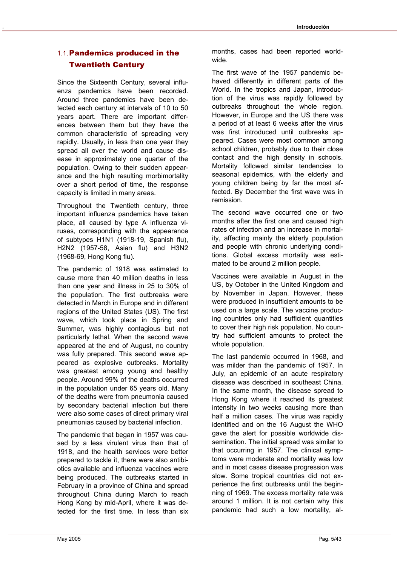# 1.1. Pandemics produced in the Twentieth Century

Since the Sixteenth Century, several influenza pandemics have been recorded. Around three pandemics have been detected each century at intervals of 10 to 50 years apart. There are important differences between them but they have the common characteristic of spreading very rapidly. Usually, in less than one year they spread all over the world and cause disease in approximately one quarter of the population. Owing to their sudden appearance and the high resulting morbimortality over a short period of time, the response capacity is limited in many areas.

Throughout the Twentieth century, three important influenza pandemics have taken place, all caused by type A influenza viruses, corresponding with the appearance of subtypes H1N1 (1918-19, Spanish flu), H2N2 (1957-58, Asian flu) and H3N2 (1968-69, Hong Kong flu).

The pandemic of 1918 was estimated to cause more than 40 million deaths in less than one year and illness in 25 to 30% of the population. The first outbreaks were detected in March in Europe and in different regions of the United States (US). The first wave, which took place in Spring and Summer, was highly contagious but not particularly lethal. When the second wave appeared at the end of August, no country was fully prepared. This second wave appeared as explosive outbreaks. Mortality was greatest among young and healthy people. Around 99% of the deaths occurred in the population under 65 years old. Many of the deaths were from pneumonia caused by secondary bacterial infection but there were also some cases of direct primary viral pneumonias caused by bacterial infection.

The pandemic that began in 1957 was caused by a less virulent virus than that of 1918, and the health services were better prepared to tackle it, there were also antibiotics available and influenza vaccines were being produced. The outbreaks started in February in a province of China and spread throughout China during March to reach Hong Kong by mid-April, where it was detected for the first time. In less than six

months, cases had been reported worldwide.

The first wave of the 1957 pandemic behaved differently in different parts of the World. In the tropics and Japan, introduction of the virus was rapidly followed by outbreaks throughout the whole region. However, in Europe and the US there was a period of at least 6 weeks after the virus was first introduced until outbreaks appeared. Cases were most common among school children, probably due to their close contact and the high density in schools. Mortality followed similar tendencies to seasonal epidemics, with the elderly and young children being by far the most affected. By December the first wave was in remission.

The second wave occurred one or two months after the first one and caused high rates of infection and an increase in mortality, affecting mainly the elderly population and people with chronic underlying conditions. Global excess mortality was estimated to be around 2 million people.

Vaccines were available in August in the US, by October in the United Kingdom and by November in Japan. However, these were produced in insufficient amounts to be used on a large scale. The vaccine producing countries only had sufficient quantities to cover their high risk population. No country had sufficient amounts to protect the whole population.

The last pandemic occurred in 1968, and was milder than the pandemic of 1957. In July, an epidemic of an acute respiratory disease was described in southeast China. In the same month, the disease spread to Hong Kong where it reached its greatest intensity in two weeks causing more than half a million cases. The virus was rapidly identified and on the 16 August the WHO gave the alert for possible worldwide dissemination. The initial spread was similar to that occurring in 1957. The clinical symptoms were moderate and mortality was low and in most cases disease progression was slow. Some tropical countries did not experience the first outbreaks until the beginning of 1969. The excess mortality rate was around 1 million. It is not certain why this pandemic had such a low mortality, al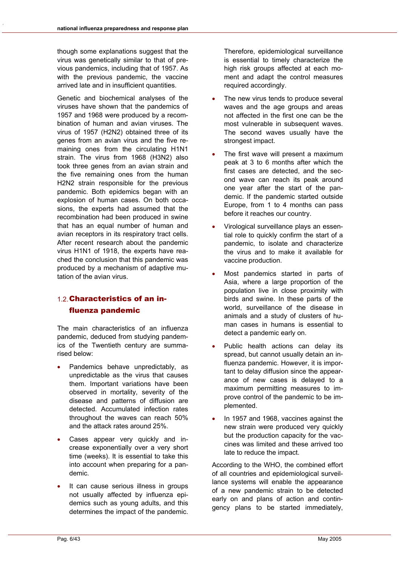though some explanations suggest that the virus was genetically similar to that of previous pandemics, including that of 1957. As with the previous pandemic, the vaccine arrived late and in insufficient quantities.

Genetic and biochemical analyses of the viruses have shown that the pandemics of 1957 and 1968 were produced by a recombination of human and avian viruses. The virus of 1957 (H2N2) obtained three of its genes from an avian virus and the five remaining ones from the circulating H1N1 strain. The virus from 1968 (H3N2) also took three genes from an avian strain and the five remaining ones from the human H2N2 strain responsible for the previous pandemic. Both epidemics began with an explosion of human cases. On both occasions, the experts had assumed that the recombination had been produced in swine that has an equal number of human and avian receptors in its respiratory tract cells. After recent research about the pandemic virus H1N1 of 1918, the experts have reached the conclusion that this pandemic was produced by a mechanism of adaptive mutation of the avian virus.

# 1.2. Characteristics of an influenza pandemic

The main characteristics of an influenza pandemic, deduced from studying pandemics of the Twentieth century are summarised below:

- Pandemics behave unpredictably, as unpredictable as the virus that causes them. Important variations have been observed in mortality, severity of the disease and patterns of diffusion are detected. Accumulated infection rates throughout the waves can reach 50% and the attack rates around 25%.
- Cases appear very quickly and increase exponentially over a very short time (weeks). It is essential to take this into account when preparing for a pandemic.
- It can cause serious illness in groups not usually affected by influenza epidemics such as young adults, and this determines the impact of the pandemic.

Therefore, epidemiological surveillance is essential to timely characterize the high risk groups affected at each moment and adapt the control measures required accordingly.

- The new virus tends to produce several waves and the age groups and areas not affected in the first one can be the most vulnerable in subsequent waves. The second waves usually have the strongest impact.
- The first wave will present a maximum peak at 3 to 6 months after which the first cases are detected, and the second wave can reach its peak around one year after the start of the pandemic. If the pandemic started outside Europe, from 1 to 4 months can pass before it reaches our country.
- Virological surveillance plays an essential role to quickly confirm the start of a pandemic, to isolate and characterize the virus and to make it available for vaccine production.
- Most pandemics started in parts of Asia, where a large proportion of the population live in close proximity with birds and swine. In these parts of the world, surveillance of the disease in animals and a study of clusters of human cases in humans is essential to detect a pandemic early on.
- Public health actions can delay its spread, but cannot usually detain an influenza pandemic. However, it is important to delay diffusion since the appearance of new cases is delayed to a maximum permitting measures to improve control of the pandemic to be implemented.
- In 1957 and 1968, vaccines against the new strain were produced very quickly but the production capacity for the vaccines was limited and these arrived too late to reduce the impact.

According to the WHO, the combined effort of all countries and epidemiological surveillance systems will enable the appearance of a new pandemic strain to be detected early on and plans of action and contingency plans to be started immediately,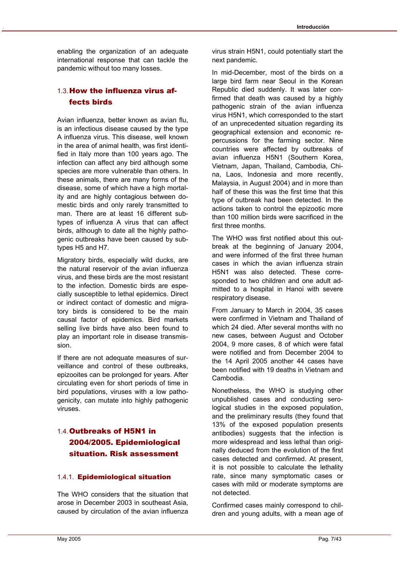enabling the organization of an adequate international response that can tackle the pandemic without too many losses.

# 1.3. How the influenza virus affects birds

Avian influenza, better known as avian flu, is an infectious disease caused by the type A influenza virus. This disease, well known in the area of animal health, was first identified in Italy more than 100 years ago. The infection can affect any bird although some species are more vulnerable than others. In these animals, there are many forms of the disease, some of which have a high mortality and are highly contagious between domestic birds and only rarely transmitted to man. There are at least 16 different subtypes of influenza A virus that can affect birds, although to date all the highly pathogenic outbreaks have been caused by subtypes H5 and H7.

Migratory birds, especially wild ducks, are the natural reservoir of the avian influenza virus, and these birds are the most resistant to the infection. Domestic birds are especially susceptible to lethal epidemics. Direct or indirect contact of domestic and migratory birds is considered to be the main causal factor of epidemics. Bird markets selling live birds have also been found to play an important role in disease transmission.

If there are not adequate measures of surveillance and control of these outbreaks, epizooites can be prolonged for years. After circulating even for short periods of time in bird populations, viruses with a low pathogenicity, can mutate into highly pathogenic viruses.

# 1.4. Outbreaks of H5N1 in 2004/2005. Epidemiological situation. Risk assessment

#### 1.4.1. Epidemiological situation

The WHO considers that the situation that arose in December 2003 in southeast Asia, caused by circulation of the avian influenza

In mid-December, most of the birds on a large bird farm near Seoul in the Korean Republic died suddenly. It was later confirmed that death was caused by a highly pathogenic strain of the avian influenza virus H5N1, which corresponded to the start of an unprecedented situation regarding its geographical extension and economic repercussions for the farming sector. Nine countries were affected by outbreaks of avian influenza H5N1 (Southern Korea, Vietnam, Japan, Thailand, Cambodia, China, Laos, Indonesia and more recently, Malaysia, in August 2004) and in more than half of these this was the first time that this type of outbreak had been detected. In the actions taken to control the epizootic more than 100 million birds were sacrificed in the first three months.

The WHO was first notified about this outbreak at the beginning of January 2004, and were informed of the first three human cases in which the avian influenza strain H5N1 was also detected. These corresponded to two children and one adult admitted to a hospital in Hanoi with severe respiratory disease.

From January to March in 2004, 35 cases were confirmed in Vietnam and Thailand of which 24 died. After several months with no new cases, between August and October 2004, 9 more cases, 8 of which were fatal were notified and from December 2004 to the 14 April 2005 another 44 cases have been notified with 19 deaths in Vietnam and Cambodia.

Nonetheless, the WHO is studying other unpublished cases and conducting serological studies in the exposed population, and the preliminary results (they found that 13% of the exposed population presents antibodies) suggests that the infection is more widespread and less lethal than originally deduced from the evolution of the first cases detected and confirmed. At present, it is not possible to calculate the lethality rate, since many symptomatic cases or cases with mild or moderate symptoms are not detected.

Confirmed cases mainly correspond to children and young adults, with a mean age of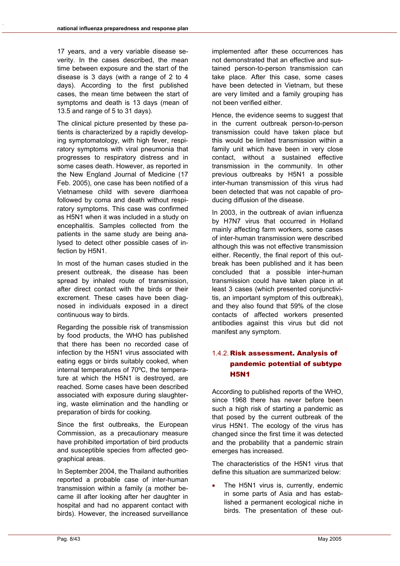17 years, and a very variable disease severity. In the cases described, the mean time between exposure and the start of the disease is 3 days (with a range of 2 to 4 days). According to the first published cases, the mean time between the start of symptoms and death is 13 days (mean of 13.5 and range of 5 to 31 days).

The clinical picture presented by these patients is characterized by a rapidly developing symptomatology, with high fever, respiratory symptoms with viral pneumonia that progresses to respiratory distress and in some cases death. However, as reported in the New England Journal of Medicine (17 Feb. 2005), one case has been notified of a Vietnamese child with severe diarrhoea followed by coma and death without respiratory symptoms. This case was confirmed as H5N1 when it was included in a study on encephalitis. Samples collected from the patients in the same study are being analysed to detect other possible cases of infection by H5N1.

In most of the human cases studied in the present outbreak, the disease has been spread by inhaled route of transmission, after direct contact with the birds or their excrement. These cases have been diagnosed in individuals exposed in a direct continuous way to birds.

Regarding the possible risk of transmission by food products, the WHO has published that there has been no recorded case of infection by the H5N1 virus associated with eating eggs or birds suitably cooked, when internal temperatures of 70ºC, the temperature at which the H5N1 is destroyed, are reached. Some cases have been described associated with exposure during slaughtering, waste elimination and the handling or preparation of birds for cooking.

Since the first outbreaks, the European Commission, as a precautionary measure have prohibited importation of bird products and susceptible species from affected geographical areas.

In September 2004, the Thailand authorities reported a probable case of inter-human transmission within a family (a mother became ill after looking after her daughter in hospital and had no apparent contact with birds). However, the increased surveillance

implemented after these occurrences has not demonstrated that an effective and sustained person-to-person transmission can take place. After this case, some cases have been detected in Vietnam, but these are very limited and a family grouping has not been verified either.

Hence, the evidence seems to suggest that in the current outbreak person-to-person transmission could have taken place but this would be limited transmission within a family unit which have been in very close contact, without a sustained effective transmission in the community. In other previous outbreaks by H5N1 a possible inter-human transmission of this virus had been detected that was not capable of producing diffusion of the disease.

In 2003, in the outbreak of avian influenza by H7N7 virus that occurred in Holland mainly affecting farm workers, some cases of inter-human transmission were described although this was not effective transmission either. Recently, the final report of this outbreak has been published and it has been concluded that a possible inter-human transmission could have taken place in at least 3 cases (which presented conjunctivitis, an important symptom of this outbreak), and they also found that 59% of the close contacts of affected workers presented antibodies against this virus but did not manifest any symptom.

## 1.4.2. Risk assessment. Analysis of pandemic potential of subtype H5N1

According to published reports of the WHO, since 1968 there has never before been such a high risk of starting a pandemic as that posed by the current outbreak of the virus H5N1. The ecology of the virus has changed since the first time it was detected and the probability that a pandemic strain emerges has increased.

The characteristics of the H5N1 virus that define this situation are summarized below:

The H5N1 virus is, currently, endemic in some parts of Asia and has established a permanent ecological niche in birds. The presentation of these out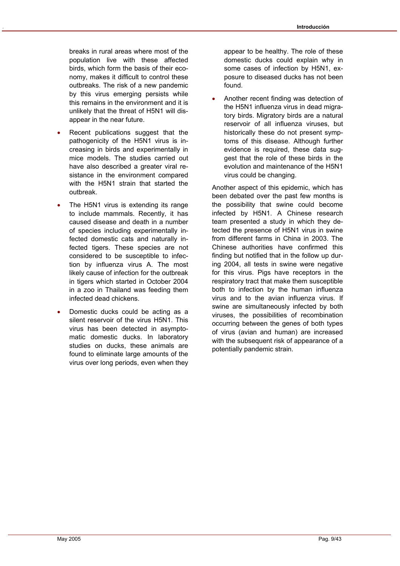breaks in rural areas where most of the population live with these affected birds, which form the basis of their economy, makes it difficult to control these outbreaks. The risk of a new pandemic by this virus emerging persists while this remains in the environment and it is unlikely that the threat of H5N1 will disappear in the near future.

- Recent publications suggest that the pathogenicity of the H5N1 virus is increasing in birds and experimentally in mice models. The studies carried out have also described a greater viral resistance in the environment compared with the H5N1 strain that started the outbreak.
- The H5N1 virus is extending its range to include mammals. Recently, it has caused disease and death in a number of species including experimentally infected domestic cats and naturally infected tigers. These species are not considered to be susceptible to infection by influenza virus A. The most likely cause of infection for the outbreak in tigers which started in October 2004 in a zoo in Thailand was feeding them infected dead chickens.
- Domestic ducks could be acting as a silent reservoir of the virus H5N1. This virus has been detected in asymptomatic domestic ducks. In laboratory studies on ducks, these animals are found to eliminate large amounts of the virus over long periods, even when they

appear to be healthy. The role of these domestic ducks could explain why in some cases of infection by H5N1, exposure to diseased ducks has not been found.

• Another recent finding was detection of the H5N1 influenza virus in dead migratory birds. Migratory birds are a natural reservoir of all influenza viruses, but historically these do not present symptoms of this disease. Although further evidence is required, these data suggest that the role of these birds in the evolution and maintenance of the H5N1 virus could be changing.

Another aspect of this epidemic, which has been debated over the past few months is the possibility that swine could become infected by H5N1. A Chinese research team presented a study in which they detected the presence of H5N1 virus in swine from different farms in China in 2003. The Chinese authorities have confirmed this finding but notified that in the follow up during 2004, all tests in swine were negative for this virus. Pigs have receptors in the respiratory tract that make them susceptible both to infection by the human influenza virus and to the avian influenza virus. If swine are simultaneously infected by both viruses, the possibilities of recombination occurring between the genes of both types of virus (avian and human) are increased with the subsequent risk of appearance of a potentially pandemic strain.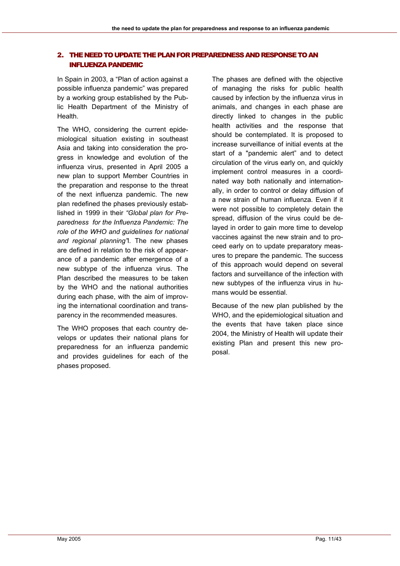#### 2. THE NEED TO UPDATE THE PLAN FOR PREPAREDNESS AND RESPONSE TO AN INFLUENZA PANDEMIC

In Spain in 2003, a "Plan of action against a possible influenza pandemic" was prepared by a working group established by the Public Health Department of the Ministry of Health.

The WHO, considering the current epidemiological situation existing in southeast Asia and taking into consideration the progress in knowledge and evolution of the influenza virus, presented in April 2005 a new plan to support Member Countries in the preparation and response to the threat of the next influenza pandemic. The new plan redefined the phases previously established in 1999 in their *"Global plan for Preparedness for the Influenza Pandemic: The role of the WHO and guidelines for national and regional planning"*l. The new phases are defined in relation to the risk of appearance of a pandemic after emergence of a new subtype of the influenza virus. The Plan described the measures to be taken by the WHO and the national authorities during each phase, with the aim of improving the international coordination and transparency in the recommended measures.

The WHO proposes that each country develops or updates their national plans for preparedness for an influenza pandemic and provides guidelines for each of the phases proposed.

The phases are defined with the objective of managing the risks for public health caused by infection by the influenza virus in animals, and changes in each phase are directly linked to changes in the public health activities and the response that should be contemplated. It is proposed to increase surveillance of initial events at the start of a "pandemic alert" and to detect circulation of the virus early on, and quickly implement control measures in a coordinated way both nationally and internationally, in order to control or delay diffusion of a new strain of human influenza. Even if it were not possible to completely detain the spread, diffusion of the virus could be delayed in order to gain more time to develop vaccines against the new strain and to proceed early on to update preparatory measures to prepare the pandemic. The success of this approach would depend on several factors and surveillance of the infection with new subtypes of the influenza virus in humans would be essential.

Because of the new plan published by the WHO, and the epidemiological situation and the events that have taken place since 2004, the Ministry of Health will update their existing Plan and present this new proposal.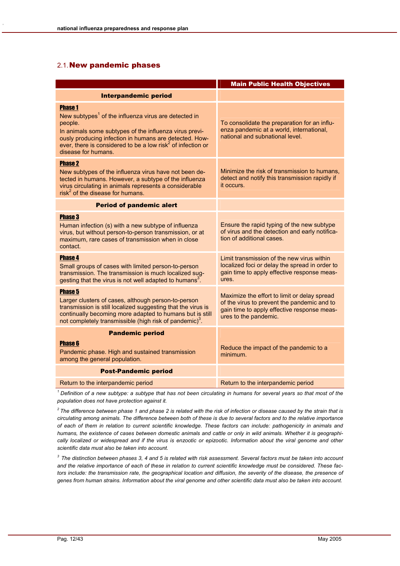#### 2.1. New pandemic phases

|                                                                                                                                                                                                                                                                                                                     | <b>Main Public Health Objectives</b>                                                                                                                                |
|---------------------------------------------------------------------------------------------------------------------------------------------------------------------------------------------------------------------------------------------------------------------------------------------------------------------|---------------------------------------------------------------------------------------------------------------------------------------------------------------------|
| <b>Interpandemic period</b>                                                                                                                                                                                                                                                                                         |                                                                                                                                                                     |
| <b>Phase 1</b><br>New subtypes <sup>1</sup> of the influenza virus are detected in<br>people.<br>In animals some subtypes of the influenza virus previ-<br>ously producing infection in humans are detected. How-<br>ever, there is considered to be a low risk <sup>2</sup> of infection or<br>disease for humans. | To consolidate the preparation for an influ-<br>enza pandemic at a world, international,<br>national and subnational level.                                         |
| <b>Phase 2</b><br>New subtypes of the influenza virus have not been de-<br>tected in humans. However, a subtype of the influenza<br>virus circulating in animals represents a considerable<br>$risk^2$ of the disease for humans.                                                                                   | Minimize the risk of transmission to humans,<br>detect and notify this transmission rapidly if<br>it occurs.                                                        |
| <b>Period of pandemic alert</b>                                                                                                                                                                                                                                                                                     |                                                                                                                                                                     |
| <b>Phase 3</b><br>Human infection (s) with a new subtype of influenza<br>virus, but without person-to-person transmission, or at<br>maximum, rare cases of transmission when in close<br>contact.                                                                                                                   | Ensure the rapid typing of the new subtype<br>of virus and the detection and early notifica-<br>tion of additional cases.                                           |
| <b>Phase 4</b><br>Small groups of cases with limited person-to-person<br>transmission. The transmission is much localized sug-<br>gesting that the virus is not well adapted to humans <sup>3</sup> .                                                                                                               | Limit transmission of the new virus within<br>localized foci or delay the spread in order to<br>gain time to apply effective response meas-<br>ures.                |
| <b>Phase 5</b><br>Larger clusters of cases, although person-to-person<br>transmission is still localized suggesting that the virus is<br>continually becoming more adapted to humans but is still<br>not completely transmissible (high risk of pandemic) <sup>3</sup> .                                            | Maximize the effort to limit or delay spread<br>of the virus to prevent the pandemic and to<br>gain time to apply effective response meas-<br>ures to the pandemic. |
| <b>Pandemic period</b>                                                                                                                                                                                                                                                                                              |                                                                                                                                                                     |
| <b>Phase 6</b><br>Pandemic phase. High and sustained transmission<br>among the general population.                                                                                                                                                                                                                  | Reduce the impact of the pandemic to a<br>minimum.                                                                                                                  |
| <b>Post-Pandemic period</b>                                                                                                                                                                                                                                                                                         |                                                                                                                                                                     |
| Return to the interpandemic period                                                                                                                                                                                                                                                                                  | Return to the interpandemic period                                                                                                                                  |

*1 Definition of a new subtype: a subtype that has not been circulating in humans for several years so that most of the population does not have protection against it.* 

*2 The difference between phase 1 and phase 2 is related with the risk of infection or disease caused by the strain that is circulating among animals. The difference between both of these is due to several factors and to the relative importance of each of them in relation to current scientific knowledge. These factors can include: pathogenicity in animals and humans, the existence of cases between domestic animals and cattle or only in wild animals. Whether it is geographically localized or widespread and if the virus is enzootic or epizootic. Information about the viral genome and other scientific data must also be taken into account.* 

*3 The distinction between phases 3, 4 and 5 is related with risk assessment. Several factors must be taken into account and the relative importance of each of these in relation to current scientific knowledge must be considered. These factors include: the transmission rate, the geographical location and diffusion, the severity of the disease, the presence of genes from human strains. Information about the viral genome and other scientific data must also be taken into account.*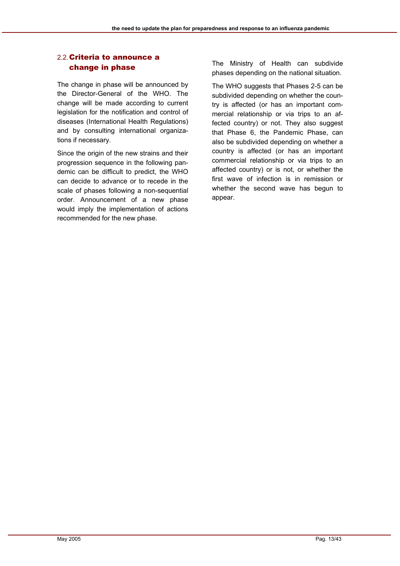#### 2.2. Criteria to announce a change in phase

The change in phase will be announced by the Director-General of the WHO. The change will be made according to current legislation for the notification and control of diseases (International Health Regulations) and by consulting international organizations if necessary.

Since the origin of the new strains and their progression sequence in the following pandemic can be difficult to predict, the WHO can decide to advance or to recede in the scale of phases following a non-sequential order. Announcement of a new phase would imply the implementation of actions recommended for the new phase.

The Ministry of Health can subdivide phases depending on the national situation.

The WHO suggests that Phases 2-5 can be subdivided depending on whether the country is affected (or has an important commercial relationship or via trips to an affected country) or not. They also suggest that Phase 6, the Pandemic Phase, can also be subdivided depending on whether a country is affected (or has an important commercial relationship or via trips to an affected country) or is not, or whether the first wave of infection is in remission or whether the second wave has begun to appear.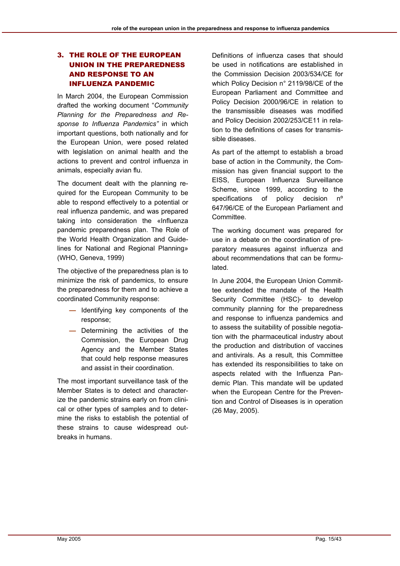#### 3. THE ROLE OF THE EUROPEAN UNION IN THE PREPAREDNESS AND RESPONSE TO AN INFLUENZA PANDEMIC

In March 2004, the European Commission drafted the working document "*Community Planning for the Preparedness and Response to Influenza Pandemics"* in which important questions, both nationally and for the European Union, were posed related with legislation on animal health and the actions to prevent and control influenza in animals, especially avian flu.

The document dealt with the planning required for the European Community to be able to respond effectively to a potential or real influenza pandemic, and was prepared taking into consideration the «Influenza pandemic preparedness plan. The Role of the World Health Organization and Guidelines for National and Regional Planning» (WHO, Geneva, 1999)

The objective of the preparedness plan is to minimize the risk of pandemics, to ensure the preparedness for them and to achieve a coordinated Community response:

- Identifying key components of the response;
- Determining the activities of the Commission, the European Drug Agency and the Member States that could help response measures and assist in their coordination.

The most important surveillance task of the Member States is to detect and characterize the pandemic strains early on from clinical or other types of samples and to determine the risks to establish the potential of these strains to cause widespread outbreaks in humans.

Definitions of influenza cases that should be used in notifications are established in the Commission Decision 2003/534/CE for which Policy Decision n° 2119/98/CE of the European Parliament and Committee and Policy Decision 2000/96/CE in relation to the transmissible diseases was modified and Policy Decision 2002/253/CE11 in relation to the definitions of cases for transmissible diseases.

As part of the attempt to establish a broad base of action in the Community, the Commission has given financial support to the EISS, European Influenza Surveillance Scheme, since 1999, according to the specifications of policy decision n<sup>o</sup> 647/96/CE of the European Parliament and Committee.

The working document was prepared for use in a debate on the coordination of preparatory measures against influenza and about recommendations that can be formulated.

In June 2004, the European Union Committee extended the mandate of the Health Security Committee (HSC)- to develop community planning for the preparedness and response to influenza pandemics and to assess the suitability of possible negotiation with the pharmaceutical industry about the production and distribution of vaccines and antivirals. As a result, this Committee has extended its responsibilities to take on aspects related with the Influenza Pandemic Plan. This mandate will be updated when the European Centre for the Prevention and Control of Diseases is in operation (26 May, 2005).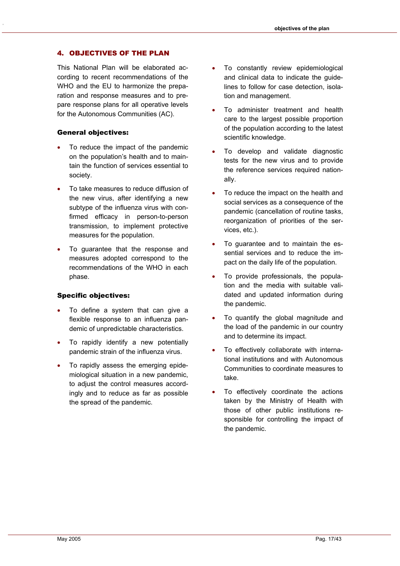#### 4. OBJECTIVES OF THE PLAN

This National Plan will be elaborated according to recent recommendations of the WHO and the EU to harmonize the preparation and response measures and to prepare response plans for all operative levels for the Autonomous Communities (AC).

#### General objectives:

- To reduce the impact of the pandemic on the population's health and to maintain the function of services essential to society.
- To take measures to reduce diffusion of the new virus, after identifying a new subtype of the influenza virus with confirmed efficacy in person-to-person transmission, to implement protective measures for the population.
- To guarantee that the response and measures adopted correspond to the recommendations of the WHO in each phase.

#### Specific objectives:

- To define a system that can give a flexible response to an influenza pandemic of unpredictable characteristics.
- To rapidly identify a new potentially pandemic strain of the influenza virus.
- To rapidly assess the emerging epidemiological situation in a new pandemic, to adjust the control measures accordingly and to reduce as far as possible the spread of the pandemic.
- To constantly review epidemiological and clinical data to indicate the guidelines to follow for case detection, isolation and management.
- To administer treatment and health care to the largest possible proportion of the population according to the latest scientific knowledge.
- To develop and validate diagnostic tests for the new virus and to provide the reference services required nationally.
- To reduce the impact on the health and social services as a consequence of the pandemic (cancellation of routine tasks, reorganization of priorities of the services, etc.).
- To guarantee and to maintain the essential services and to reduce the impact on the daily life of the population.
- To provide professionals, the population and the media with suitable validated and updated information during the pandemic.
- To quantify the global magnitude and the load of the pandemic in our country and to determine its impact.
- To effectively collaborate with international institutions and with Autonomous Communities to coordinate measures to take.
- To effectively coordinate the actions taken by the Ministry of Health with those of other public institutions responsible for controlling the impact of the pandemic.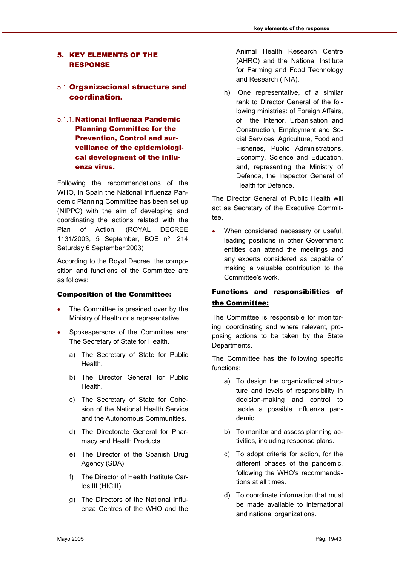#### 5. KEY ELEMENTS OF THE RESPONSE

### 5.1. Organizacional structure and coordination.

5.1.1. National Influenza Pandemic Planning Committee for the Prevention, Control and surveillance of the epidemiological development of the influenza virus.

Following the recommendations of the WHO, in Spain the National Influenza Pandemic Planning Committee has been set up (NIPPC) with the aim of developing and coordinating the actions related with the Plan of Action. (ROYAL DECREE 1131/2003, 5 September, BOE nº. 214 Saturday 6 September 2003)

According to the Royal Decree, the composition and functions of the Committee are as follows:

#### Composition of the Committee:

- The Committee is presided over by the Ministry of Health or a representative.
- Spokespersons of the Committee are: The Secretary of State for Health.
	- a) The Secretary of State for Public Health.
	- b) The Director General for Public Health.
	- c) The Secretary of State for Cohesion of the National Health Service and the Autonomous Communities.
	- d) The Directorate General for Pharmacy and Health Products.
	- e) The Director of the Spanish Drug Agency (SDA).
	- f) The Director of Health Institute Carlos III (HICIII).
	- g) The Directors of the National Influenza Centres of the WHO and the

Animal Health Research Centre (AHRC) and the National Institute for Farming and Food Technology and Research (INIA).

h) One representative, of a similar rank to Director General of the following ministries: of Foreign Affairs, of the Interior, Urbanisation and Construction, Employment and Social Services, Agriculture, Food and Fisheries, Public Administrations, Economy, Science and Education, and, representing the Ministry of Defence, the Inspector General of Health for Defence.

The Director General of Public Health will act as Secretary of the Executive Committee.

• When considered necessary or useful, leading positions in other Government entities can attend the meetings and any experts considered as capable of making a valuable contribution to the Committee's work.

#### Functions and responsibilities of the Committee:

The Committee is responsible for monitoring, coordinating and where relevant, proposing actions to be taken by the State Departments.

The Committee has the following specific functions:

- a) To design the organizational structure and levels of responsibility in decision-making and control to tackle a possible influenza pandemic.
- b) To monitor and assess planning activities, including response plans.
- c) To adopt criteria for action, for the different phases of the pandemic, following the WHO's recommendations at all times.
- d) To coordinate information that must be made available to international and national organizations.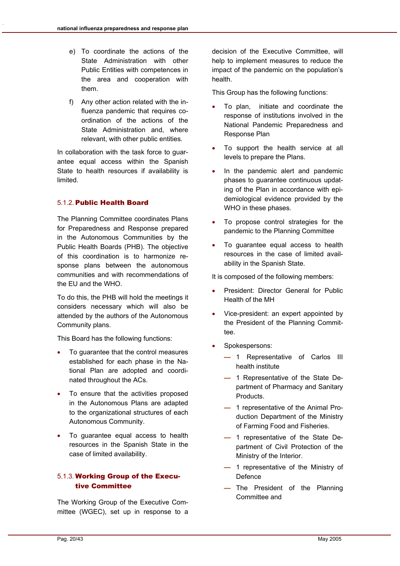- e) To coordinate the actions of the State Administration with other Public Entities with competences in the area and cooperation with them.
- f) Any other action related with the influenza pandemic that requires coordination of the actions of the State Administration and, where relevant, with other public entities.

In collaboration with the task force to guarantee equal access within the Spanish State to health resources if availability is limited.

#### 5.1.2. Public Health Board

The Planning Committee coordinates Plans for Preparedness and Response prepared in the Autonomous Communities by the Public Health Boards (PHB). The objective of this coordination is to harmonize response plans between the autonomous communities and with recommendations of the EU and the WHO.

To do this, the PHB will hold the meetings it considers necessary which will also be attended by the authors of the Autonomous Community plans.

This Board has the following functions:

- To guarantee that the control measures established for each phase in the National Plan are adopted and coordinated throughout the ACs.
- To ensure that the activities proposed in the Autonomous Plans are adapted to the organizational structures of each Autonomous Community.
- To guarantee equal access to health resources in the Spanish State in the case of limited availability.

#### 5.1.3. Working Group of the Executive Committee

The Working Group of the Executive Committee (WGEC), set up in response to a decision of the Executive Committee, will help to implement measures to reduce the impact of the pandemic on the population's health.

This Group has the following functions:

- To plan, initiate and coordinate the response of institutions involved in the National Pandemic Preparedness and Response Plan
- To support the health service at all levels to prepare the Plans.
- In the pandemic alert and pandemic phases to guarantee continuous updating of the Plan in accordance with epidemiological evidence provided by the WHO in these phases.
- To propose control strategies for the pandemic to the Planning Committee
- To guarantee equal access to health resources in the case of limited availability in the Spanish State.

It is composed of the following members:

- President: Director General for Public Health of the MH
- Vice-president: an expert appointed by the President of the Planning Committee.
- Spokespersons:
	- 1 Representative of Carlos III health institute
	- 1 Representative of the State Department of Pharmacy and Sanitary Products.
	- 1 representative of the Animal Production Department of the Ministry of Farming Food and Fisheries.
	- 1 representative of the State Department of Civil Protection of the Ministry of the Interior.
	- 1 representative of the Ministry of **Defence**
	- The President of the Planning Committee and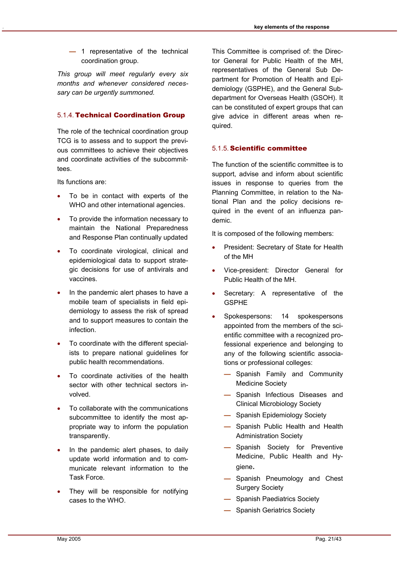**—** 1 representative of the technical coordination group.

*This group will meet regularly every six months and whenever considered necessary can be urgently summoned.* 

#### 5.1.4. Technical Coordination Group

The role of the technical coordination group TCG is to assess and to support the previous committees to achieve their objectives and coordinate activities of the subcommittees.

Its functions are:

- To be in contact with experts of the WHO and other international agencies.
- To provide the information necessary to maintain the National Preparedness and Response Plan continually updated
- To coordinate virological, clinical and epidemiological data to support strategic decisions for use of antivirals and vaccines.
- In the pandemic alert phases to have a mobile team of specialists in field epidemiology to assess the risk of spread and to support measures to contain the infection.
- To coordinate with the different specialists to prepare national guidelines for public health recommendations.
- To coordinate activities of the health sector with other technical sectors involved.
- To collaborate with the communications subcommittee to identify the most appropriate way to inform the population transparently.
- In the pandemic alert phases, to daily update world information and to communicate relevant information to the Task Force.
- They will be responsible for notifying cases to the WHO.

This Committee is comprised of: the Director General for Public Health of the MH, representatives of the General Sub Department for Promotion of Health and Epidemiology (GSPHE), and the General Subdepartment for Overseas Health (GSOH). It can be constituted of expert groups that can give advice in different areas when required.

#### 5.1.5. Scientific committee

The function of the scientific committee is to support, advise and inform about scientific issues in response to queries from the Planning Committee, in relation to the National Plan and the policy decisions required in the event of an influenza pandemic.

It is composed of the following members:

- President: Secretary of State for Health of the MH
- Vice-president: Director General for Public Health of the MH.
- Secretary: A representative of the GSPHE
- Spokespersons: 14 spokespersons appointed from the members of the scientific committee with a recognized professional experience and belonging to any of the following scientific associations or professional colleges:
	- Spanish Family and Community Medicine Society
	- Spanish Infectious Diseases and Clinical Microbiology Society
	- Spanish Epidemiology Society
	- Spanish Public Health and Health Administration Society
	- Spanish Society for Preventive Medicine, Public Health and Hygiene.
	- Spanish Pneumology and Chest Surgery Society
	- Spanish Paediatrics Society
	- Spanish Geriatrics Society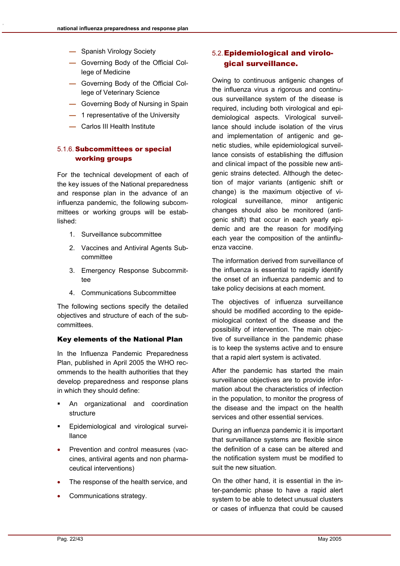- Spanish Virology Society
- Governing Body of the Official College of Medicine
- Governing Body of the Official College of Veterinary Science
- Governing Body of Nursing in Spain
- 1 representative of the University
- Carlos III Health Institute

#### 5.1.6. Subcommittees or special working groups

For the technical development of each of the key issues of the National preparedness and response plan in the advance of an influenza pandemic, the following subcommittees or working groups will be established:

- 1. Surveillance subcommittee
- 2. Vaccines and Antiviral Agents Subcommittee
- 3. Emergency Response Subcommittee
- 4. Communications Subcommittee

The following sections specify the detailed objectives and structure of each of the subcommittees.

#### Key elements of the National Plan

In the Influenza Pandemic Preparedness Plan, published in April 2005 the WHO recommends to the health authorities that they develop preparedness and response plans in which they should define:

- An organizational and coordination structure
- Epidemiological and virological surveillance
- Prevention and control measures (vaccines, antiviral agents and non pharmaceutical interventions)
- The response of the health service, and
- Communications strategy.

#### 5.2. Epidemiological and virological surveillance.

Owing to continuous antigenic changes of the influenza virus a rigorous and continuous surveillance system of the disease is required, including both virological and epidemiological aspects. Virological surveillance should include isolation of the virus and implementation of antigenic and genetic studies, while epidemiological surveillance consists of establishing the diffusion and clinical impact of the possible new antigenic strains detected. Although the detection of major variants (antigenic shift or change) is the maximum objective of virological surveillance, minor antigenic changes should also be monitored (antigenic shift) that occur in each yearly epidemic and are the reason for modifying each year the composition of the antiinfluenza vaccine.

The information derived from surveillance of the influenza is essential to rapidly identify the onset of an influenza pandemic and to take policy decisions at each moment.

The objectives of influenza surveillance should be modified according to the epidemiological context of the disease and the possibility of intervention. The main objective of surveillance in the pandemic phase is to keep the systems active and to ensure that a rapid alert system is activated.

After the pandemic has started the main surveillance objectives are to provide information about the characteristics of infection in the population, to monitor the progress of the disease and the impact on the health services and other essential services.

During an influenza pandemic it is important that surveillance systems are flexible since the definition of a case can be altered and the notification system must be modified to suit the new situation.

On the other hand, it is essential in the inter-pandemic phase to have a rapid alert system to be able to detect unusual clusters or cases of influenza that could be caused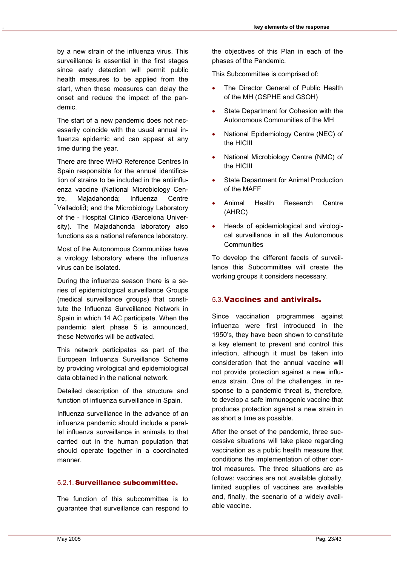by a new strain of the influenza virus. This surveillance is essential in the first stages since early detection will permit public health measures to be applied from the start, when these measures can delay the onset and reduce the impact of the pandemic.

The start of a new pandemic does not necessarily coincide with the usual annual influenza epidemic and can appear at any time during the year.

There are three WHO Reference Centres in Spain responsible for the annual identification of strains to be included in the antiinfluenza vaccine (National Microbiology Centre, Majadahonda; Influenza Centre Valladolid; and the Microbiology Laboratory of the - Hospital Clinico /Barcelona University). The Majadahonda laboratory also functions as a national reference laboratory.

Most of the Autonomous Communities have a virology laboratory where the influenza virus can be isolated.

During the influenza season there is a series of epidemiological surveillance Groups (medical surveillance groups) that constitute the Influenza Surveillance Network in Spain in which 14 AC participate. When the pandemic alert phase 5 is announced, these Networks will be activated.

This network participates as part of the European Influenza Surveillance Scheme by providing virological and epidemiological data obtained in the national network.

Detailed description of the structure and function of influenza surveillance in Spain.

Influenza surveillance in the advance of an influenza pandemic should include a parallel influenza surveillance in animals to that carried out in the human population that should operate together in a coordinated manner.

#### 5.2.1. Surveillance subcommittee.

The function of this subcommittee is to guarantee that surveillance can respond to the objectives of this Plan in each of the phases of the Pandemic.

This Subcommittee is comprised of:

- The Director General of Public Health of the MH (GSPHE and GSOH)
- State Department for Cohesion with the Autonomous Communities of the MH
- National Epidemiology Centre (NEC) of the HICIII
- National Microbiology Centre (NMC) of the HICIII
- State Department for Animal Production of the MAFF
- Animal Health Research Centre (AHRC)
- Heads of epidemiological and virological surveillance in all the Autonomous **Communities**

To develop the different facets of surveillance this Subcommittee will create the working groups it considers necessary.

#### 5.3. Vaccines and antivirals.

Since vaccination programmes against influenza were first introduced in the 1950's, they have been shown to constitute a key element to prevent and control this infection, although it must be taken into consideration that the annual vaccine will not provide protection against a new influenza strain. One of the challenges, in response to a pandemic threat is, therefore, to develop a safe immunogenic vaccine that produces protection against a new strain in as short a time as possible.

After the onset of the pandemic, three successive situations will take place regarding vaccination as a public health measure that conditions the implementation of other control measures. The three situations are as follows: vaccines are not available globally, limited supplies of vaccines are available and, finally, the scenario of a widely available vaccine.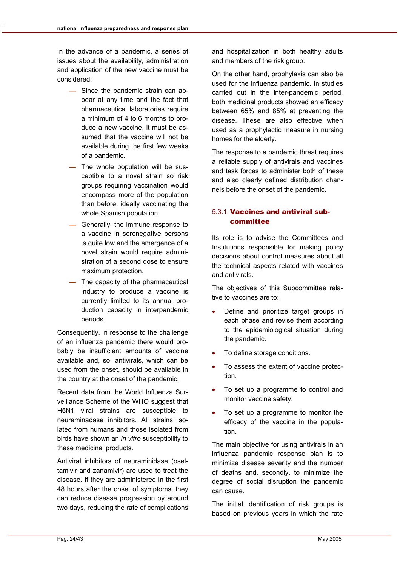In the advance of a pandemic, a series of issues about the availability, administration and application of the new vaccine must be considered:

- Since the pandemic strain can appear at any time and the fact that pharmaceutical laboratories require a minimum of 4 to 6 months to produce a new vaccine, it must be assumed that the vaccine will not be available during the first few weeks of a pandemic.
- The whole population will be susceptible to a novel strain so risk groups requiring vaccination would encompass more of the population than before, ideally vaccinating the whole Spanish population.
- Generally, the immune response to a vaccine in seronegative persons is quite low and the emergence of a novel strain would require administration of a second dose to ensure maximum protection.
- The capacity of the pharmaceutical industry to produce a vaccine is currently limited to its annual production capacity in interpandemic periods.

Consequently, in response to the challenge of an influenza pandemic there would probably be insufficient amounts of vaccine available and, so, antivirals, which can be used from the onset, should be available in the country at the onset of the pandemic.

Recent data from the World Influenza Surveillance Scheme of the WHO suggest that H5N1 viral strains are susceptible to neuraminadase inhibitors. All strains isolated from humans and those isolated from birds have shown an *in vitro* susceptibility to these medicinal products.

Antiviral inhibitors of neuraminidase (oseltamivir and zanamivir) are used to treat the disease. If they are administered in the first 48 hours after the onset of symptoms, they can reduce disease progression by around two days, reducing the rate of complications

and hospitalization in both healthy adults and members of the risk group.

On the other hand, prophylaxis can also be used for the influenza pandemic. In studies carried out in the inter-pandemic period, both medicinal products showed an efficacy between 65% and 85% at preventing the disease. These are also effective when used as a prophylactic measure in nursing homes for the elderly.

The response to a pandemic threat requires a reliable supply of antivirals and vaccines and task forces to administer both of these and also clearly defined distribution channels before the onset of the pandemic.

#### 5.3.1. Vaccines and antiviral subcommittee

Its role is to advise the Committees and Institutions responsible for making policy decisions about control measures about all the technical aspects related with vaccines and antivirals.

The objectives of this Subcommittee relative to vaccines are to:

- Define and prioritize target groups in each phase and revise them according to the epidemiological situation during the pandemic.
- To define storage conditions.
- To assess the extent of vaccine protection.
- To set up a programme to control and monitor vaccine safety.
- To set up a programme to monitor the efficacy of the vaccine in the population.

The main objective for using antivirals in an influenza pandemic response plan is to minimize disease severity and the number of deaths and, secondly, to minimize the degree of social disruption the pandemic can cause.

The initial identification of risk groups is based on previous years in which the rate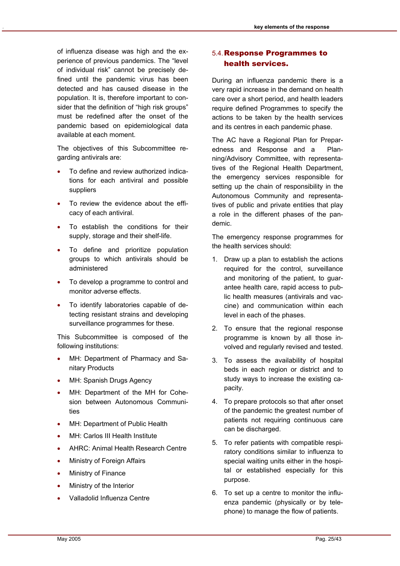of influenza disease was high and the experience of previous pandemics. The "level of individual risk" cannot be precisely defined until the pandemic virus has been detected and has caused disease in the population. It is, therefore important to consider that the definition of "high risk groups" must be redefined after the onset of the pandemic based on epidemiological data available at each moment.

The objectives of this Subcommittee regarding antivirals are:

- To define and review authorized indications for each antiviral and possible suppliers
- To review the evidence about the efficacy of each antiviral.
- To establish the conditions for their supply, storage and their shelf-life.
- To define and prioritize population groups to which antivirals should be administered
- To develop a programme to control and monitor adverse effects.
- To identify laboratories capable of detecting resistant strains and developing surveillance programmes for these.

This Subcommittee is composed of the following institutions:

- MH: Department of Pharmacy and Sanitary Products
- MH: Spanish Drugs Agency
- MH: Department of the MH for Cohesion between Autonomous Communities
- MH: Department of Public Health
- MH: Carlos III Health Institute
- AHRC: Animal Health Research Centre
- Ministry of Foreign Affairs
- **Ministry of Finance**
- Ministry of the Interior
- Valladolid Influenza Centre

### 5.4. Response Programmes to health services.

During an influenza pandemic there is a very rapid increase in the demand on health care over a short period, and health leaders require defined Programmes to specify the actions to be taken by the health services and its centres in each pandemic phase.

The AC have a Regional Plan for Preparedness and Response and a Planning/Advisory Committee, with representatives of the Regional Health Department, the emergency services responsible for setting up the chain of responsibility in the Autonomous Community and representatives of public and private entities that play a role in the different phases of the pandemic.

The emergency response programmes for the health services should:

- 1. Draw up a plan to establish the actions required for the control, surveillance and monitoring of the patient, to guarantee health care, rapid access to public health measures (antivirals and vaccine) and communication within each level in each of the phases.
- 2. To ensure that the regional response programme is known by all those involved and regularly revised and tested.
- 3. To assess the availability of hospital beds in each region or district and to study ways to increase the existing capacity.
- 4. To prepare protocols so that after onset of the pandemic the greatest number of patients not requiring continuous care can be discharged.
- 5. To refer patients with compatible respiratory conditions similar to influenza to special waiting units either in the hospital or established especially for this purpose.
- 6. To set up a centre to monitor the influenza pandemic (physically or by telephone) to manage the flow of patients.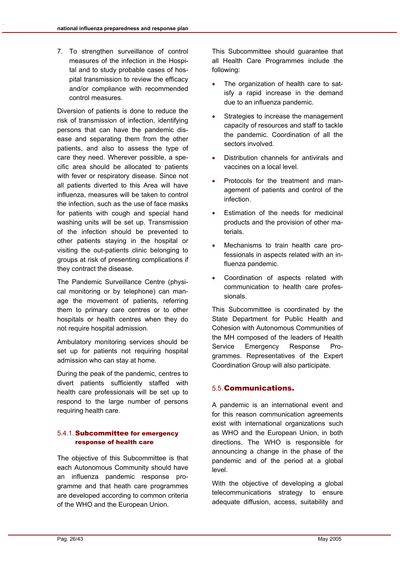7. To strengthen surveillance of control measures of the infection in the Hospital and to study probable cases of hospital transmission to review the efficacy and/or compliance with recommended control measures.

Diversion of patients is done to reduce the risk of transmission of infection, identifying persons that can have the pandemic disease and separating them from the other patients, and also to assess the type of care they need. Wherever possible, a specific area should be allocated to patients with fever or respiratory disease. Since not all patients diverted to this Area will have influenza, measures will be taken to control the infection, such as the use of face masks for patients with cough and special hand washing units will be set up. Transmission of the infection should be prevented to other patients staying in the hospital or visiting the out-patients clinic belonging to groups at risk of presenting complications if they contract the disease.

The Pandemic Surveillance Centre (physical monitoring or by telephone) can manage the movement of patients, referring them to primary care centres or to other hospitals or health centres when they do not require hospital admission.

Ambulatory monitoring services should be set up for patients not requiring hospital admission who can stay at home.

During the peak of the pandemic, centres to divert patients sufficiently staffed with health care professionals will be set up to respond to the large number of persons requiring health care.

#### 5.4.1. Subcommittee for emergency response of health care

The objective of this Subcommittee is that each Autonomous Community should have an influenza pandemic response programme and that heath care programmes are developed according to common criteria of the WHO and the European Union.

This Subcommittee should guarantee that all Health Care Programmes include the following:

- The organization of health care to satisfy a rapid increase in the demand due to an influenza pandemic.
- Strategies to increase the management capacity of resources and staff to tackle the pandemic. Coordination of all the sectors involved.
- Distribution channels for antivirals and vaccines on a local level.
- Protocols for the treatment and management of patients and control of the infection.
- Estimation of the needs for medicinal products and the provision of other materials.
- Mechanisms to train health care professionals in aspects related with an influenza pandemic.
- Coordination of aspects related with communication to health care professionals.

This Subcommittee is coordinated by the State Department for Public Health and Cohesion with Autonomous Communities of the MH composed of the leaders of Health Service Emergency Response Programmes. Representatives of the Expert Coordination Group will also participate.

### 5.5. Communications.

A pandemic is an international event and for this reason communication agreements exist with international organizations such as WHO and the European Union, in both directions. The WHO is responsible for announcing a change in the phase of the pandemic and of the period at a global level.

With the objective of developing a global telecommunications strategy to ensure adequate diffusion, access, suitability and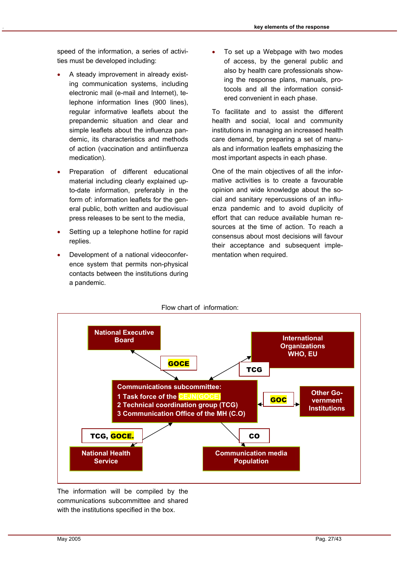speed of the information, a series of activities must be developed including:

- A steady improvement in already existing communication systems, including electronic mail (e-mail and Internet), telephone information lines (900 lines), regular informative leaflets about the prepandemic situation and clear and simple leaflets about the influenza pandemic, its characteristics and methods of action (vaccination and antiinfluenza medication).
- Preparation of different educational material including clearly explained upto-date information, preferably in the form of: information leaflets for the general public, both written and audiovisual press releases to be sent to the media,
- Setting up a telephone hotline for rapid replies.
- Development of a national videoconference system that permits non-physical contacts between the institutions during a pandemic.

To set up a Webpage with two modes of access, by the general public and also by health care professionals showing the response plans, manuals, protocols and all the information considered convenient in each phase.

To facilitate and to assist the different health and social, local and community institutions in managing an increased health care demand, by preparing a set of manuals and information leaflets emphasizing the most important aspects in each phase.

One of the main objectives of all the informative activities is to create a favourable opinion and wide knowledge about the social and sanitary repercussions of an influenza pandemic and to avoid duplicity of effort that can reduce available human resources at the time of action. To reach a consensus about most decisions will favour their acceptance and subsequent implementation when required.



The information will be compiled by the communications subcommittee and shared with the institutions specified in the box.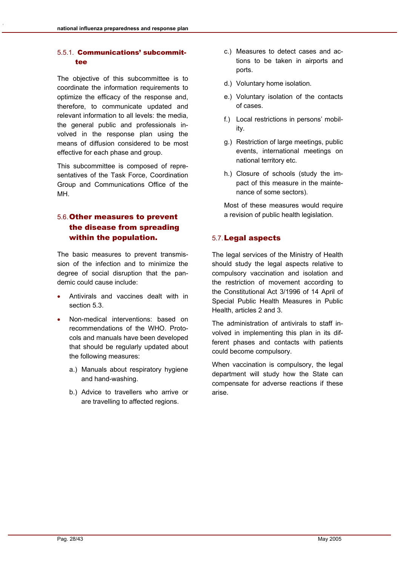#### 5.5.1. Communications' subcommittee

The objective of this subcommittee is to coordinate the information requirements to optimize the efficacy of the response and, therefore, to communicate updated and relevant information to all levels: the media, the general public and professionals involved in the response plan using the means of diffusion considered to be most effective for each phase and group.

This subcommittee is composed of representatives of the Task Force, Coordination Group and Communications Office of the MH.

# 5.6. Other measures to prevent the disease from spreading within the population.

The basic measures to prevent transmission of the infection and to minimize the degree of social disruption that the pandemic could cause include:

- Antivirals and vaccines dealt with in section 5.3.
- Non-medical interventions: based on recommendations of the WHO. Protocols and manuals have been developed that should be regularly updated about the following measures:
	- a.) Manuals about respiratory hygiene and hand-washing.
	- b.) Advice to travellers who arrive or are travelling to affected regions.
- c.) Measures to detect cases and actions to be taken in airports and ports.
- d.) Voluntary home isolation.
- e.) Voluntary isolation of the contacts of cases.
- f.) Local restrictions in persons' mobility.
- g.) Restriction of large meetings, public events, international meetings on national territory etc.
- h.) Closure of schools (study the impact of this measure in the maintenance of some sectors).

Most of these measures would require a revision of public health legislation.

#### 5.7. Legal aspects

The legal services of the Ministry of Health should study the legal aspects relative to compulsory vaccination and isolation and the restriction of movement according to the Constitutional Act 3/1996 of 14 April of Special Public Health Measures in Public Health, articles 2 and 3.

The administration of antivirals to staff involved in implementing this plan in its different phases and contacts with patients could become compulsory.

When vaccination is compulsory, the legal department will study how the State can compensate for adverse reactions if these arise.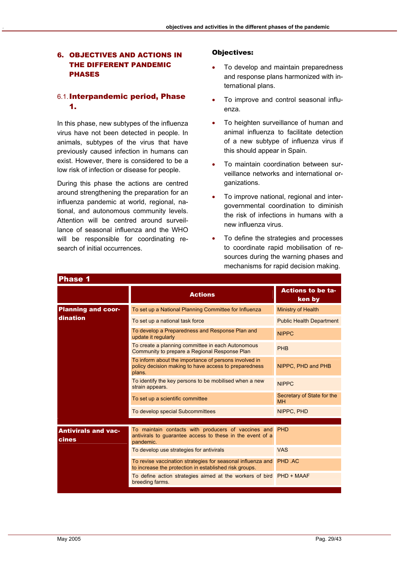#### 6. OBJECTIVES AND ACTIONS IN THE DIFFERENT PANDEMIC PHASES

#### 6.1. Interpandemic period, Phase 1.

In this phase, new subtypes of the influenza virus have not been detected in people. In animals, subtypes of the virus that have previously caused infection in humans can exist. However, there is considered to be a low risk of infection or disease for people.

During this phase the actions are centred around strengthening the preparation for an influenza pandemic at world, regional, national, and autonomous community levels. Attention will be centred around surveillance of seasonal influenza and the WHO will be responsible for coordinating research of initial occurrences.

#### Objectives:

- To develop and maintain preparedness and response plans harmonized with international plans.
- To improve and control seasonal influenza.
- To heighten surveillance of human and animal influenza to facilitate detection of a new subtype of influenza virus if this should appear in Spain.
- To maintain coordination between surveillance networks and international organizations.
- To improve national, regional and intergovernmental coordination to diminish the risk of infections in humans with a new influenza virus.
- To define the strategies and processes to coordinate rapid mobilisation of resources during the warning phases and mechanisms for rapid decision making.

| г назе і                                   |                                                                                                                                   |                                         |
|--------------------------------------------|-----------------------------------------------------------------------------------------------------------------------------------|-----------------------------------------|
|                                            | <b>Actions</b>                                                                                                                    | <b>Actions to be ta-</b><br>ken by      |
| <b>Planning and coor-</b>                  | To set up a National Planning Committee for Influenza                                                                             | Ministry of Health                      |
| dination                                   | To set up a national task force                                                                                                   | <b>Public Health Department</b>         |
|                                            | To develop a Preparedness and Response Plan and<br>update it regularly                                                            | <b>NIPPC</b>                            |
|                                            | To create a planning committee in each Autonomous<br>Community to prepare a Regional Response Plan                                | <b>PHB</b>                              |
|                                            | To inform about the importance of persons involved in<br>policy decision making to have access to preparedness<br>plans.          | NIPPC, PHD and PHB                      |
|                                            | To identify the key persons to be mobilised when a new<br>strain appears.                                                         | <b>NIPPC</b>                            |
|                                            | To set up a scientific committee                                                                                                  | Secretary of State for the<br><b>MH</b> |
|                                            | To develop special Subcommittees                                                                                                  | NIPPC, PHD                              |
|                                            |                                                                                                                                   |                                         |
| <b>Antivirals and vac-</b><br><b>cines</b> | To maintain contacts with producers of vaccines and PHD<br>antivirals to guarantee access to these in the event of a<br>pandemic. |                                         |
|                                            | To develop use strategies for antivirals                                                                                          | <b>VAS</b>                              |
|                                            | To revise vaccination strategies for seasonal influenza and<br>to increase the protection in established risk groups.             | PHD .AC                                 |
|                                            | To define action strategies aimed at the workers of bird PHD + MAAF<br>breeding farms.                                            |                                         |
|                                            |                                                                                                                                   |                                         |

Phase 1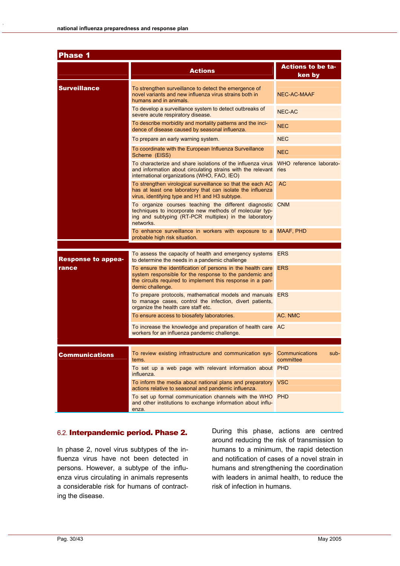| <b>Phase 1</b>            |                                                                                                                                                                                                         |                                     |  |  |
|---------------------------|---------------------------------------------------------------------------------------------------------------------------------------------------------------------------------------------------------|-------------------------------------|--|--|
|                           | <b>Actions</b>                                                                                                                                                                                          | <b>Actions to be ta-</b><br>ken by  |  |  |
| <b>Surveillance</b>       | To strengthen surveillance to detect the emergence of<br>novel variants and new influenza virus strains both in<br>humans and in animals.                                                               | <b>NEC-AC-MAAF</b>                  |  |  |
|                           | To develop a surveillance system to detect outbreaks of<br>severe acute respiratory disease.                                                                                                            | <b>NEC-AC</b>                       |  |  |
|                           | To describe morbidity and mortality patterns and the inci-<br>dence of disease caused by seasonal influenza.                                                                                            | <b>NEC</b>                          |  |  |
|                           | To prepare an early warning system.                                                                                                                                                                     | <b>NEC</b>                          |  |  |
|                           | To coordinate with the European Influenza Surveillance<br>Scheme (EISS)                                                                                                                                 | <b>NEC</b>                          |  |  |
|                           | To characterize and share isolations of the influenza virus<br>and information about circulating strains with the relevant ries<br>international organizations (WHO, FAO, IEO)                          | WHO reference laborato-             |  |  |
|                           | To strengthen virological surveillance so that the each AC<br>has at least one laboratory that can isolate the influenza<br>virus, identifying type and H1 and H3 subtype.                              | AC                                  |  |  |
|                           | To organize courses teaching the different diagnostic CNM<br>techniques to incorporate new methods of molecular typ-<br>ing and subtyping (RT-PCR multiplex) in the laboratory<br>networks.             |                                     |  |  |
|                           | To enhance surveillance in workers with exposure to a MAAF, PHD<br>probable high risk situation.                                                                                                        |                                     |  |  |
|                           | To assess the capacity of health and emergency systems ERS                                                                                                                                              |                                     |  |  |
| <b>Response to appea-</b> | to determine the needs in a pandemic challenge                                                                                                                                                          |                                     |  |  |
| rance                     | To ensure the identification of persons in the health care<br>system responsible for the response to the pandemic and<br>the circuits required to implement this response in a pan-<br>demic challenge. | <b>ERS</b>                          |  |  |
|                           | To prepare protocols, mathematical models and manuals ERS<br>to manage cases, control the infection, divert patients,<br>organize the health care staff etc.                                            |                                     |  |  |
|                           | To ensure access to biosafety laboratories.                                                                                                                                                             | AC. NMC                             |  |  |
|                           | To increase the knowledge and preparation of health care AC<br>workers for an influenza pandemic challenge.                                                                                             |                                     |  |  |
|                           |                                                                                                                                                                                                         |                                     |  |  |
| <b>Communications</b>     | To review existing infrastructure and communication sys-<br>tems.                                                                                                                                       | Communications<br>sub-<br>committee |  |  |
|                           | To set up a web page with relevant information about PHD<br>influenza.                                                                                                                                  |                                     |  |  |
|                           | To inform the media about national plans and preparatory<br>actions relative to seasonal and pandemic influenza.                                                                                        | <b>VSC</b>                          |  |  |
|                           | To set up formal communication channels with the WHO PHD<br>and other institutions to exchange information about influ-<br>enza.                                                                        |                                     |  |  |

#### 6.2. Interpandemic period. Phase 2.

In phase 2, novel virus subtypes of the influenza virus have not been detected in persons. However, a subtype of the influenza virus circulating in animals represents a considerable risk for humans of contracting the disease.

During this phase, actions are centred around reducing the risk of transmission to humans to a minimum, the rapid detection and notification of cases of a novel strain in humans and strengthening the coordination with leaders in animal health, to reduce the risk of infection in humans.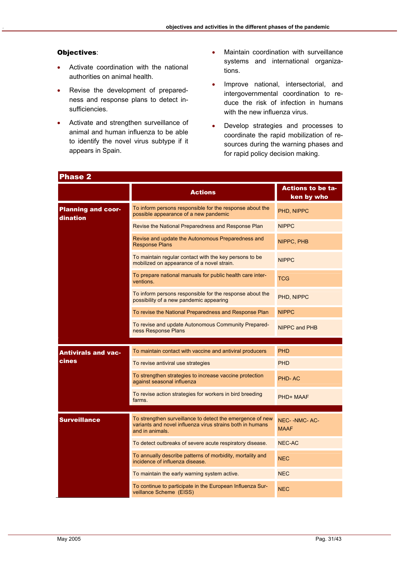#### Objectives:

- Activate coordination with the national authorities on animal health.
- Revise the development of preparedness and response plans to detect insufficiencies.
- Activate and strengthen surveillance of animal and human influenza to be able to identify the novel virus subtype if it appears in Spain.
- Maintain coordination with surveillance systems and international organizations.
- Improve national, intersectorial, and intergovernmental coordination to reduce the risk of infection in humans with the new influenza virus.
- Develop strategies and processes to coordinate the rapid mobilization of resources during the warning phases and for rapid policy decision making.

| <b>Phase 2</b>                        |                                                                                                                                           |                                        |  |  |
|---------------------------------------|-------------------------------------------------------------------------------------------------------------------------------------------|----------------------------------------|--|--|
|                                       | <b>Actions</b>                                                                                                                            | <b>Actions to be ta-</b><br>ken by who |  |  |
| <b>Planning and coor-</b><br>dination | To inform persons responsible for the response about the<br>possible appearance of a new pandemic                                         | PHD, NIPPC                             |  |  |
|                                       | Revise the National Preparedness and Response Plan                                                                                        | <b>NIPPC</b>                           |  |  |
|                                       | Revise and update the Autonomous Preparedness and<br><b>Response Plans</b>                                                                | NIPPC, PHB                             |  |  |
|                                       | To maintain regular contact with the key persons to be<br>mobilized on appearance of a novel strain.                                      | <b>NIPPC</b>                           |  |  |
|                                       | To prepare national manuals for public health care inter-<br>ventions.                                                                    | <b>TCG</b>                             |  |  |
|                                       | To inform persons responsible for the response about the<br>possibility of a new pandemic appearing                                       | PHD, NIPPC                             |  |  |
|                                       | To revise the National Preparedness and Response Plan                                                                                     | <b>NIPPC</b>                           |  |  |
|                                       | To revise and update Autonomous Community Prepared-<br>ness Response Plans                                                                | NIPPC and PHB                          |  |  |
|                                       |                                                                                                                                           |                                        |  |  |
| <b>Antivirals and vac-</b><br>cines   | To maintain contact with vaccine and antiviral producers                                                                                  | <b>PHD</b>                             |  |  |
|                                       | To revise antiviral use strategies                                                                                                        | <b>PHD</b>                             |  |  |
|                                       | To strengthen strategies to increase vaccine protection<br>against seasonal influenza                                                     | PHD-AC                                 |  |  |
|                                       | To revise action strategies for workers in bird breeding<br>farms.                                                                        | PHD+ MAAF                              |  |  |
|                                       |                                                                                                                                           |                                        |  |  |
| <b>Surveillance</b>                   | To strengthen surveillance to detect the emergence of new<br>variants and novel influenza virus strains both in humans<br>and in animals. | NEC--NMC-AC-<br><b>MAAF</b>            |  |  |
|                                       | To detect outbreaks of severe acute respiratory disease.                                                                                  | <b>NEC-AC</b>                          |  |  |
|                                       | To annually describe patterns of morbidity, mortality and<br>incidence of influenza disease.                                              | <b>NEC</b>                             |  |  |
|                                       | To maintain the early warning system active.                                                                                              | <b>NEC</b>                             |  |  |
|                                       | To continue to participate in the European Influenza Sur-<br>veillance Scheme (EISS)                                                      | <b>NEC</b>                             |  |  |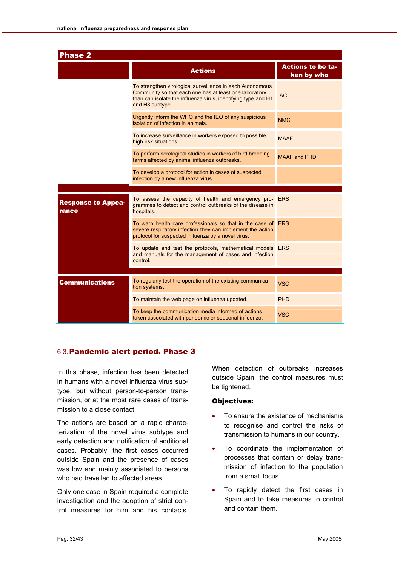| <b>Phase 2</b>                     |                                                                                                                                                                                                         |                                        |  |  |
|------------------------------------|---------------------------------------------------------------------------------------------------------------------------------------------------------------------------------------------------------|----------------------------------------|--|--|
|                                    | <b>Actions</b>                                                                                                                                                                                          | <b>Actions to be ta-</b><br>ken by who |  |  |
|                                    | To strengthen virological surveillance in each Autonomous<br>Community so that each one has at least one laboratory<br>than can isolate the influenza virus, identifying type and H1<br>and H3 subtype. | <b>AC</b>                              |  |  |
|                                    | Urgently inform the WHO and the IEO of any suspicious<br>isolation of infection in animals.                                                                                                             | NM <sub>C</sub>                        |  |  |
|                                    | To increase surveillance in workers exposed to possible<br>high risk situations.                                                                                                                        | <b>MAAF</b>                            |  |  |
|                                    | To perform serological studies in workers of bird breeding<br>farms affected by animal influenza outbreaks.                                                                                             | <b>MAAF and PHD</b>                    |  |  |
|                                    | To develop a protocol for action in cases of suspected<br>infection by a new influenza virus.                                                                                                           |                                        |  |  |
|                                    |                                                                                                                                                                                                         |                                        |  |  |
| <b>Response to Appea-</b><br>rance | To assess the capacity of health and emergency pro- ERS<br>grammes to detect and control outbreaks of the disease in<br>hospitals.                                                                      |                                        |  |  |
|                                    | To warn health care professionals so that in the case of ERS<br>severe respiratory infection they can implement the action<br>protocol for suspected influenza by a novel virus.                        |                                        |  |  |
|                                    | To update and test the protocols, mathematical models ERS<br>and manuals for the management of cases and infection<br>control.                                                                          |                                        |  |  |
|                                    |                                                                                                                                                                                                         |                                        |  |  |
| <b>Communications</b>              | To regularly test the operation of the existing communica-<br>tion systems.                                                                                                                             | <b>VSC</b>                             |  |  |
|                                    | To maintain the web page on influenza updated.                                                                                                                                                          | PHD                                    |  |  |
|                                    | To keep the communication media informed of actions<br>taken associated with pandemic or seasonal influenza.                                                                                            | <b>VSC</b>                             |  |  |

#### 6.3. Pandemic alert period. Phase 3

In this phase, infection has been detected in humans with a novel influenza virus subtype, but without person-to-person transmission, or at the most rare cases of transmission to a close contact.

The actions are based on a rapid characterization of the novel virus subtype and early detection and notification of additional cases. Probably, the first cases occurred outside Spain and the presence of cases was low and mainly associated to persons who had travelled to affected areas.

Only one case in Spain required a complete investigation and the adoption of strict control measures for him and his contacts.

When detection of outbreaks increases outside Spain, the control measures must be tightened.

#### Objectives:

- To ensure the existence of mechanisms to recognise and control the risks of transmission to humans in our country.
- To coordinate the implementation of processes that contain or delay transmission of infection to the population from a small focus.
- To rapidly detect the first cases in Spain and to take measures to control and contain them.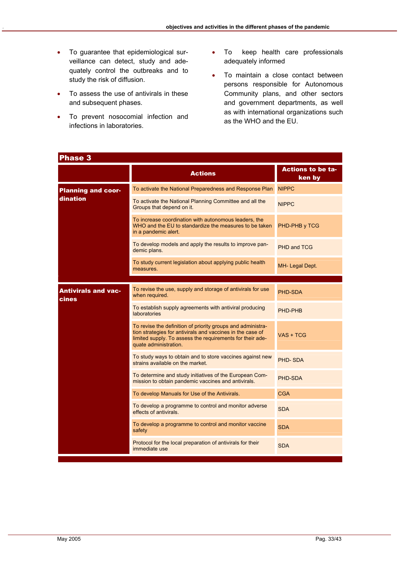- To guarantee that epidemiological surveillance can detect, study and adequately control the outbreaks and to study the risk of diffusion.
- To assess the use of antivirals in these and subsequent phases.
- To prevent nosocomial infection and infections in laboratories.
- To keep health care professionals adequately informed
- To maintain a close contact between persons responsible for Autonomous Community plans, and other sectors and government departments, as well as with international organizations such as the WHO and the EU.

| Phase 3                             |                                                                                                                                                                                                                 |                                    |  |
|-------------------------------------|-----------------------------------------------------------------------------------------------------------------------------------------------------------------------------------------------------------------|------------------------------------|--|
|                                     | <b>Actions</b>                                                                                                                                                                                                  | <b>Actions to be ta-</b><br>ken by |  |
| <b>Planning and coor-</b>           | To activate the National Preparedness and Response Plan                                                                                                                                                         | <b>NIPPC</b>                       |  |
| dination                            | To activate the National Planning Committee and all the<br>Groups that depend on it.                                                                                                                            | <b>NIPPC</b>                       |  |
|                                     | To increase coordination with autonomous leaders, the<br>WHO and the EU to standardize the measures to be taken<br>in a pandemic alert.                                                                         | PHD-PHB y TCG                      |  |
|                                     | To develop models and apply the results to improve pan-<br>demic plans.                                                                                                                                         | <b>PHD and TCG</b>                 |  |
|                                     | To study current legislation about applying public health<br>measures.                                                                                                                                          | MH- Legal Dept.                    |  |
|                                     |                                                                                                                                                                                                                 |                                    |  |
| <b>Antivirals and vac-</b><br>cines | To revise the use, supply and storage of antivirals for use<br>when required.                                                                                                                                   | PHD-SDA                            |  |
|                                     | To establish supply agreements with antiviral producing<br>laboratories                                                                                                                                         | PHD-PHB                            |  |
|                                     | To revise the definition of priority groups and administra-<br>tion strategies for antivirals and vaccines in the case of<br>limited supply. To assess the requirements for their ade-<br>quate administration. | VAS + TCG                          |  |
|                                     | To study ways to obtain and to store vaccines against new<br>strains available on the market.                                                                                                                   | PHD-SDA                            |  |
|                                     | To determine and study initiatives of the European Com-<br>mission to obtain pandemic vaccines and antivirals.                                                                                                  | PHD-SDA                            |  |
|                                     | To develop Manuals for Use of the Antivirals.                                                                                                                                                                   | <b>CGA</b>                         |  |
|                                     | To develop a programme to control and monitor adverse<br>effects of antivirals.                                                                                                                                 | <b>SDA</b>                         |  |
|                                     | To develop a programme to control and monitor vaccine<br>safety                                                                                                                                                 | <b>SDA</b>                         |  |
|                                     | Protocol for the local preparation of antivirals for their<br>immediate use                                                                                                                                     | <b>SDA</b>                         |  |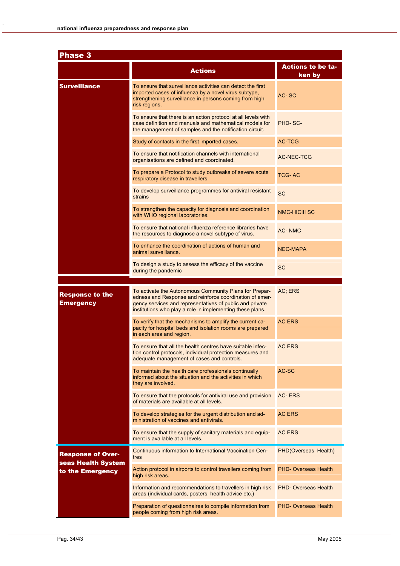| Phase 3                                        |                                                                                                                                                                                                                                            |                                    |  |
|------------------------------------------------|--------------------------------------------------------------------------------------------------------------------------------------------------------------------------------------------------------------------------------------------|------------------------------------|--|
|                                                | <b>Actions</b>                                                                                                                                                                                                                             | <b>Actions to be ta-</b><br>ken by |  |
| <b>Surveillance</b>                            | To ensure that surveillance activities can detect the first<br>imported cases of influenza by a novel virus subtype,<br>strengthening surveillance in persons coming from high<br>risk regions.                                            | AC-SC                              |  |
|                                                | To ensure that there is an action protocol at all levels with<br>case definition and manuals and mathematical models for<br>the management of samples and the notification circuit.                                                        | PHD-SC-                            |  |
|                                                | Study of contacts in the first imported cases.                                                                                                                                                                                             | <b>AC-TCG</b>                      |  |
|                                                | To ensure that notification channels with international<br>organisations are defined and coordinated.                                                                                                                                      | AC-NEC-TCG                         |  |
|                                                | To prepare a Protocol to study outbreaks of severe acute<br>respiratory disease in travellers                                                                                                                                              | <b>TCG-AC</b>                      |  |
|                                                | To develop surveillance programmes for antiviral resistant<br>strains                                                                                                                                                                      | <b>SC</b>                          |  |
|                                                | To strengthen the capacity for diagnosis and coordination<br>with WHO regional laboratories.                                                                                                                                               | <b>NMC-HICIII SC</b>               |  |
|                                                | To ensure that national influenza reference libraries have<br>the resources to diagnose a novel subtype of virus.                                                                                                                          | <b>AC-NMC</b>                      |  |
|                                                | To enhance the coordination of actions of human and<br>animal surveillance.                                                                                                                                                                | <b>NEC-MAPA</b>                    |  |
|                                                | To design a study to assess the efficacy of the vaccine<br>during the pandemic                                                                                                                                                             | <b>SC</b>                          |  |
| <b>Response to the</b><br>Emergency            | To activate the Autonomous Community Plans for Prepar-<br>edness and Response and reinforce coordination of emer-<br>gency services and representatives of public and private<br>institutions who play a role in implementing these plans. | AC; ERS                            |  |
|                                                | To verify that the mechanisms to amplify the current ca-<br>pacity for hospital beds and isolation rooms are prepared<br>in each area and region.                                                                                          | <b>AC ERS</b>                      |  |
|                                                | To ensure that all the health centres have suitable infec-<br>tion control protocols, individual protection measures and<br>adequate management of cases and controls.                                                                     | <b>AC ERS</b>                      |  |
|                                                | To maintain the health care professionals continually<br>informed about the situation and the activities in which<br>they are involved.                                                                                                    | AC-SC                              |  |
|                                                | To ensure that the protocols for antiviral use and provision<br>of materials are available at all levels.                                                                                                                                  | AC-ERS                             |  |
|                                                | To develop strategies for the urgent distribution and ad-<br>ministration of vaccines and antivirals.                                                                                                                                      | <b>AC ERS</b>                      |  |
|                                                | To ensure that the supply of sanitary materials and equip-<br>ment is available at all levels.                                                                                                                                             | <b>AC ERS</b>                      |  |
| <b>Response of Over-</b><br>seas Health System | Continuous information to International Vaccination Cen-<br>tres                                                                                                                                                                           | PHD(Overseas Health)               |  |
| to the Emergency                               | Action protocol in airports to control travellers coming from<br>high risk areas.                                                                                                                                                          | <b>PHD- Overseas Health</b>        |  |
|                                                | Information and recommendations to travellers in high risk<br>areas (individual cards, posters, health advice etc.)                                                                                                                        | <b>PHD- Overseas Health</b>        |  |
|                                                | Preparation of questionnaires to compile information from<br>people coming from high risk areas.                                                                                                                                           | <b>PHD- Overseas Health</b>        |  |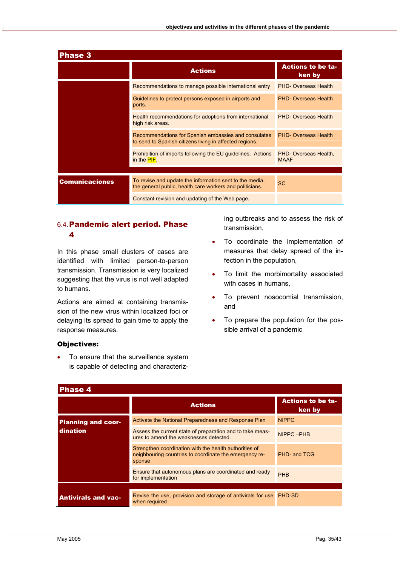| <b>Phase 3</b>        |                                                                                                                     |                                      |  |  |
|-----------------------|---------------------------------------------------------------------------------------------------------------------|--------------------------------------|--|--|
|                       | <b>Actions</b>                                                                                                      | <b>Actions to be ta-</b><br>ken by   |  |  |
|                       | Recommendations to manage possible international entry                                                              | <b>PHD-Overseas Health</b>           |  |  |
|                       | Guidelines to protect persons exposed in airports and<br>ports.                                                     | <b>PHD- Overseas Health</b>          |  |  |
|                       | Health recommendations for adoptions from international<br>high risk areas.                                         | <b>PHD-Overseas Health</b>           |  |  |
|                       | Recommendations for Spanish embassies and consulates<br>to send to Spanish citizens living in affected regions.     | <b>PHD- Overseas Health</b>          |  |  |
|                       | Prohibition of imports following the EU guidelines. Actions<br>in the $PIF$ .                                       | PHD- Overseas Health,<br><b>MAAF</b> |  |  |
|                       |                                                                                                                     |                                      |  |  |
| <b>Comunicaciones</b> | To revise and update the information sent to the media,<br>the general public, health care workers and politicians. | <b>SC</b>                            |  |  |
|                       | Constant revision and updating of the Web page.                                                                     |                                      |  |  |

#### 6.4. Pandemic alert period. Phase 4

In this phase small clusters of cases are identified with limited person-to-person transmission. Transmission is very localized suggesting that the virus is not well adapted to humans.

Actions are aimed at containing transmission of the new virus within localized foci or delaying its spread to gain time to apply the response measures.

ing outbreaks and to assess the risk of transmission,

- To coordinate the implementation of measures that delay spread of the infection in the population,
- To limit the morbimortality associated with cases in humans,
- To prevent nosocomial transmission, and
- To prepare the population for the possible arrival of a pandemic

#### Objectives:

• To ensure that the surveillance system is capable of detecting and characteriz-

| <b>Phase 4</b>             |                                                                                                                            |                                    |
|----------------------------|----------------------------------------------------------------------------------------------------------------------------|------------------------------------|
|                            | <b>Actions</b>                                                                                                             | <b>Actions to be ta-</b><br>ken by |
| <b>Planning and coor-</b>  | Activate the National Preparedness and Response Plan                                                                       | <b>NIPPC</b>                       |
| dination                   | Assess the current state of preparation and to take meas-<br>ures to amend the weaknesses detected.                        | NIPPC-PHB                          |
|                            | Strengthen coordination with the health authorities of<br>neighbouring countries to coordinate the emergency re-<br>sponse | PHD- and TCG                       |
|                            | Ensure that autonomous plans are coordinated and ready<br>for implementation                                               | <b>PHB</b>                         |
|                            |                                                                                                                            |                                    |
| <b>Antivirals and vac-</b> | Revise the use, provision and storage of antivirals for use<br>when required                                               | PHD-SD                             |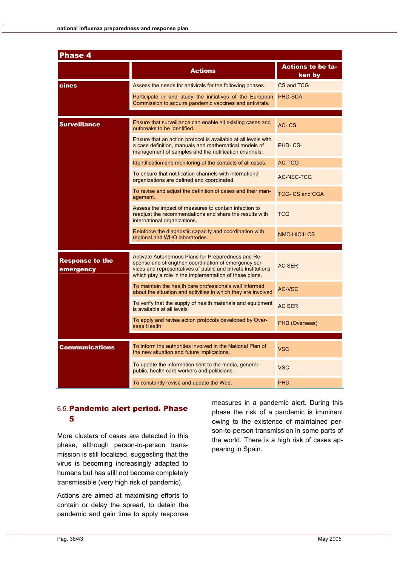| <b>Phase 4</b>                      |                                                                                                                                                                                                                                       |                                    |
|-------------------------------------|---------------------------------------------------------------------------------------------------------------------------------------------------------------------------------------------------------------------------------------|------------------------------------|
|                                     | <b>Actions</b>                                                                                                                                                                                                                        | <b>Actions to be ta-</b><br>ken by |
| cines                               | Assess the needs for antivirals for the following phases.                                                                                                                                                                             | CS and TCG                         |
|                                     | Participate in and study the initiatives of the European<br>Commission to acquire pandemic vaccines and antivirals.                                                                                                                   | <b>PHD-SDA</b>                     |
| <b>Surveillance</b>                 | Ensure that surveillance can enable all existing cases and<br>outbreaks to be identified.                                                                                                                                             | $AC - CS$                          |
|                                     | Ensure that an action protocol is available at all levels with<br>a case definition, manuals and mathematical models of<br>management of samples and the notification channels.                                                       | PHD-CS-                            |
|                                     | Identification and monitoring of the contacts of all cases.                                                                                                                                                                           | <b>AC-TCG</b>                      |
|                                     | To ensure that notification channels with international<br>organizations are defined and coordinated.                                                                                                                                 | AC-NEC-TCG                         |
|                                     | To revise and adjust the definition of cases and their man-<br>agement.                                                                                                                                                               | <b>TCG-CS and CGA</b>              |
|                                     | Assess the impact of measures to contain infection to<br>readjust the recommendations and share the results with<br>international organizations.                                                                                      | <b>TCG</b>                         |
|                                     | Reinforce the diagnostic capacity and coordination with<br>regional and WHO laboratories.                                                                                                                                             | <b>NMC-HICIII CS</b>               |
| <b>Response to the</b><br>emergency | Activate Autonomous Plans for Preparedness and Re-<br>sponse and strengthen coordination of emergency ser-<br>vices and representatives of public and private institutions<br>which play a role in the implementation of these plans. | <b>AC SER</b>                      |
|                                     | To maintain the health care professionals well informed<br>about the situation and activities in which they are involved                                                                                                              | <b>AC-VSC</b>                      |
|                                     | To verify that the supply of health materials and equipment<br>is available at all levels                                                                                                                                             | <b>AC SER</b>                      |
|                                     | To apply and revise action protocols developed by Over-<br>seas Health                                                                                                                                                                | PHD (Overseas)                     |
|                                     |                                                                                                                                                                                                                                       |                                    |
| Communications                      | To inform the authorities involved in the National Plan of<br>the new situation and future implications.                                                                                                                              | <b>VSC</b>                         |
|                                     | To update the information sent to the media, general<br>public, health care workers and politicians.                                                                                                                                  | <b>VSC</b>                         |
|                                     | To constantly revise and update the Web.                                                                                                                                                                                              | PHD                                |

#### 6.5. Pandemic alert period. Phase 5

More clusters of cases are detected in this phase, although person-to-person transmission is still localized, suggesting that the virus is becoming increasingly adapted to humans but has still not become completely transmissible (very high risk of pandemic).

Actions are aimed at maximising efforts to contain or delay the spread, to detain the pandemic and gain time to apply response measures in a pandemic alert. During this phase the risk of a pandemic is imminent owing to the existence of maintained person-to-person transmission in some parts of the world. There is a high risk of cases appearing in Spain.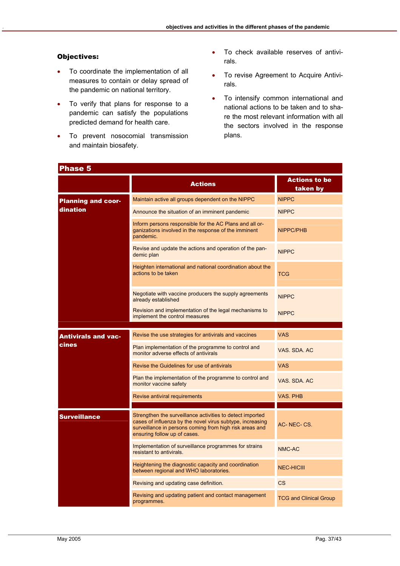#### Objectives:

- To coordinate the implementation of all measures to contain or delay spread of the pandemic on national territory.
- To verify that plans for response to a pandemic can satisfy the populations predicted demand for health care.
- To prevent nosocomial transmission and maintain biosafety.
- To check available reserves of antivirals.
- To revise Agreement to Acquire Antivirals.
- To intensify common international and national actions to be taken and to share the most relevant information with all the sectors involved in the response plans.

| <b>Phase 5</b>             |                                                                                                                                                                                                                   |                                  |
|----------------------------|-------------------------------------------------------------------------------------------------------------------------------------------------------------------------------------------------------------------|----------------------------------|
|                            | <b>Actions</b>                                                                                                                                                                                                    | <b>Actions to be</b><br>taken by |
| <b>Planning and coor-</b>  | Maintain active all groups dependent on the NIPPC                                                                                                                                                                 | <b>NIPPC</b>                     |
| dination                   | Announce the situation of an imminent pandemic                                                                                                                                                                    | <b>NIPPC</b>                     |
|                            | Inform persons responsible for the AC Plans and all or-<br>ganizations involved in the response of the imminent<br>pandemic.                                                                                      | <b>NIPPC/PHB</b>                 |
|                            | Revise and update the actions and operation of the pan-<br>demic plan                                                                                                                                             | <b>NIPPC</b>                     |
|                            | Heighten international and national coordination about the<br>actions to be taken                                                                                                                                 | <b>TCG</b>                       |
|                            | Negotiate with vaccine producers the supply agreements<br>already established                                                                                                                                     | <b>NIPPC</b>                     |
|                            | Revision and implementation of the legal mechanisms to<br>implement the control measures                                                                                                                          | <b>NIPPC</b>                     |
| <b>Antivirals and vac-</b> | Revise the use strategies for antivirals and vaccines                                                                                                                                                             | <b>VAS</b>                       |
| cines                      | Plan implementation of the programme to control and<br>monitor adverse effects of antivirals                                                                                                                      | VAS. SDA. AC                     |
|                            | Revise the Guidelines for use of antivirals                                                                                                                                                                       | <b>VAS</b>                       |
|                            | Plan the implementation of the programme to control and<br>monitor vaccine safety                                                                                                                                 | VAS, SDA, AC                     |
|                            | Revise antiviral requirements                                                                                                                                                                                     | <b>VAS. PHB</b>                  |
| <b>Surveillance</b>        | Strengthen the surveillance activities to detect imported<br>cases of influenza by the novel virus subtype, increasing<br>surveillance in persons coming from high risk areas and<br>ensuring follow up of cases. | AC-NEC-CS.                       |
|                            | Implementation of surveillance programmes for strains<br>resistant to antivirals.                                                                                                                                 | NMC-AC                           |
|                            | Heightening the diagnostic capacity and coordination<br>between regional and WHO laboratories.                                                                                                                    | <b>NEC-HICIII</b>                |
|                            | Revising and updating case definition.                                                                                                                                                                            | <b>CS</b>                        |
|                            | Revising and updating patient and contact management<br>programmes.                                                                                                                                               | <b>TCG and Clinical Group</b>    |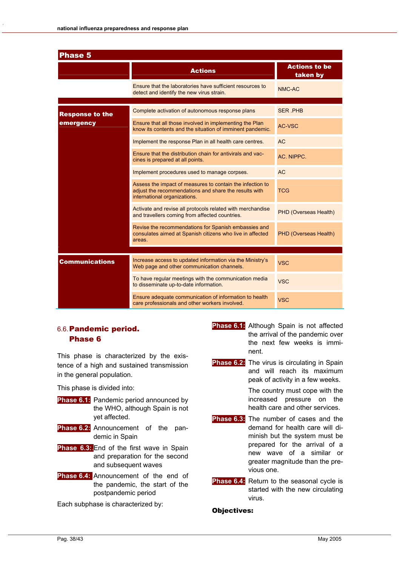| <b>Phase 5</b>         |                                                                                                                                                    |                                  |
|------------------------|----------------------------------------------------------------------------------------------------------------------------------------------------|----------------------------------|
|                        | <b>Actions</b>                                                                                                                                     | <b>Actions to be</b><br>taken by |
|                        | Ensure that the laboratories have sufficient resources to<br>detect and identify the new virus strain.                                             | NMC-AC                           |
| <b>Response to the</b> | Complete activation of autonomous response plans                                                                                                   | <b>SER PHB</b>                   |
| emergency              | Ensure that all those involved in implementing the Plan<br>know its contents and the situation of imminent pandemic.                               | <b>AC-VSC</b>                    |
|                        | Implement the response Plan in all health care centres.                                                                                            | <b>AC</b>                        |
|                        | Ensure that the distribution chain for antivirals and vac-<br>cines is prepared at all points.                                                     | AC. NIPPC.                       |
|                        | Implement procedures used to manage corpses.                                                                                                       | <b>AC</b>                        |
|                        | Assess the impact of measures to contain the infection to<br>adjust the recommendations and share the results with<br>international organizations. | <b>TCG</b>                       |
|                        | Activate and revise all protocols related with merchandise<br>and travellers coming from affected countries.                                       | PHD (Overseas Health)            |
|                        | Revise the recommendations for Spanish embassies and<br>consulates aimed at Spanish citizens who live in affected<br>areas.                        | PHD (Overseas Health)            |
|                        |                                                                                                                                                    |                                  |
| <b>Communications</b>  | Increase access to updated information via the Ministry's<br>Web page and other communication channels.                                            | <b>VSC</b>                       |
|                        | To have regular meetings with the communication media<br>to disseminate up-to-date information.                                                    | <b>VSC</b>                       |
|                        | Ensure adequate communication of information to health<br>care professionals and other workers involved.                                           | <b>VSC</b>                       |

#### 6.6. Pandemic period. Phase 6

This phase is characterized by the existence of a high and sustained transmission in the general population.

This phase is divided into:

- **Phase 6.1:** Pandemic period announced by the WHO, although Spain is not yet affected.
- **Phase 6.2:** Announcement of the pandemic in Spain
- **Phase 6.3:.** End of the first wave in Spain and preparation for the second and subsequent waves **.**
- **Phase 6.4:** Announcement of the end of the pandemic, the start of the postpandemic period

Each subphase is characterized by:

- **Phase 6.1:** Although Spain is not affected the arrival of the pandemic over the next few weeks is imminent.
- **Phase 6.2:** The virus is circulating in Spain and will reach its maximum peak of activity in a few weeks.

 The country must cope with the increased pressure on the health care and other services.

- **Phase 6.3:** The number of cases and the demand for health care will diminish but the system must be prepared for the arrival of a new wave of a similar or greater magnitude than the previous one.
- **Phase 6.4:** Return to the seasonal cycle is started with the new circulating virus.

#### Objectives: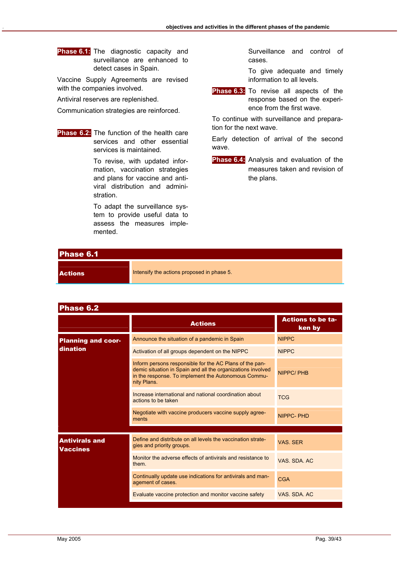**Phase 6.1:** The diagnostic capacity and surveillance are enhanced to detect cases in Spain.

Vaccine Supply Agreements are revised with the companies involved.

Antiviral reserves are replenished.

Communication strategies are reinforced.

**Phase 6.2:** The function of the health care services and other essential services is maintained.

> To revise, with updated information, vaccination strategies and plans for vaccine and antiviral distribution and administration.

> To adapt the surveillance system to provide useful data to assess the measures implemented.

 Surveillance and control of cases.

 To give adequate and timely information to all levels.

**Phase 6.3:** To revise all aspects of the response based on the experience from the first wave.

To continue with surveillance and preparation for the next wave.

Early detection of arrival of the second wave.

**Phase 6.4:** Analysis and evaluation of the measures taken and revision of the plans.

| Phase 6.1      |                                            |
|----------------|--------------------------------------------|
| <b>Actions</b> | Intensify the actions proposed in phase 5. |

| <b>Phase 6.2</b>                         |                                                                                                                                                                                              |                                    |
|------------------------------------------|----------------------------------------------------------------------------------------------------------------------------------------------------------------------------------------------|------------------------------------|
|                                          | <b>Actions</b>                                                                                                                                                                               | <b>Actions to be ta-</b><br>ken by |
| <b>Planning and coor-</b>                | Announce the situation of a pandemic in Spain                                                                                                                                                | <b>NIPPC</b>                       |
| dination                                 | Activation of all groups dependent on the NIPPC                                                                                                                                              | <b>NIPPC</b>                       |
|                                          | Inform persons responsible for the AC Plans of the pan-<br>demic situation in Spain and all the organizations involved<br>in the response. To implement the Autonomous Commu-<br>nity Plans. | NIPPC/PHB                          |
|                                          | Increase international and national coordination about<br>actions to be taken                                                                                                                | <b>TCG</b>                         |
|                                          | Negotiate with vaccine producers vaccine supply agree-<br>ments                                                                                                                              | NIPPC-PHD                          |
|                                          |                                                                                                                                                                                              |                                    |
| <b>Antivirals and</b><br><b>Vaccines</b> | Define and distribute on all levels the vaccination strate-<br>gies and priority groups.                                                                                                     | VAS. SER                           |
|                                          | Monitor the adverse effects of antivirals and resistance to<br>them.                                                                                                                         | VAS SDA AC                         |
|                                          | Continually update use indications for antivirals and man-<br>agement of cases.                                                                                                              | <b>CGA</b>                         |
|                                          | Evaluate vaccine protection and monitor vaccine safety                                                                                                                                       | VAS, SDA, AC                       |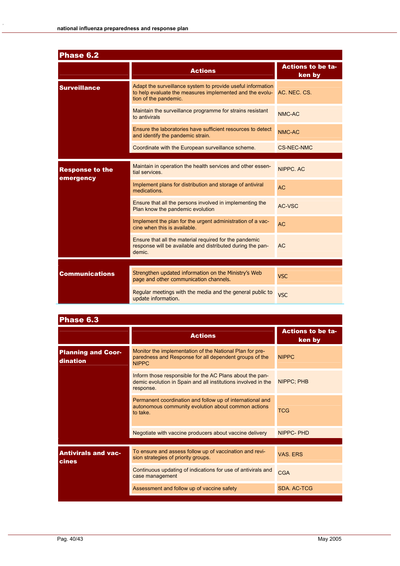| Phase 6.2                           |                                                                                                                                                  |                                    |
|-------------------------------------|--------------------------------------------------------------------------------------------------------------------------------------------------|------------------------------------|
|                                     | <b>Actions</b>                                                                                                                                   | <b>Actions to be ta-</b><br>ken by |
| <b>Surveillance</b>                 | Adapt the surveillance system to provide useful information<br>to help evaluate the measures implemented and the evolu-<br>tion of the pandemic. | AC. NEC. CS.                       |
|                                     | Maintain the surveillance programme for strains resistant<br>to antivirals                                                                       | NMC-AC                             |
|                                     | Ensure the laboratories have sufficient resources to detect<br>and identify the pandemic strain.                                                 | NMC-AC                             |
|                                     | Coordinate with the European surveillance scheme.                                                                                                | <b>CS-NEC-NMC</b>                  |
| <b>Response to the</b><br>emergency | Maintain in operation the health services and other essen-<br>tial services.                                                                     | NIPPC AC                           |
|                                     | Implement plans for distribution and storage of antiviral<br>medications.                                                                        | <b>AC</b>                          |
|                                     | Ensure that all the persons involved in implementing the<br>Plan know the pandemic evolution                                                     | AC-VSC                             |
|                                     | Implement the plan for the urgent administration of a vac-<br>cine when this is available.                                                       | <b>AC</b>                          |
|                                     | Ensure that all the material required for the pandemic<br>response will be available and distributed during the pan-<br>demic.                   | <b>AC</b>                          |
| <b>Communications</b>               | Strengthen updated information on the Ministry's Web<br>page and other communication channels.                                                   | <b>VSC</b>                         |
|                                     | Regular meetings with the media and the general public to<br>update information.                                                                 | <b>VSC</b>                         |

| Phase 6.3                                  |                                                                                                                                        |                                    |
|--------------------------------------------|----------------------------------------------------------------------------------------------------------------------------------------|------------------------------------|
|                                            | <b>Actions</b>                                                                                                                         | <b>Actions to be ta-</b><br>ken by |
| <b>Planning and Coor-</b><br>dination      | Monitor the implementation of the National Plan for pre-<br>paredness and Response for all dependent groups of the<br><b>NIPPC</b>     | <b>NIPPC</b>                       |
|                                            | Inform those responsible for the AC Plans about the pan-<br>demic evolution in Spain and all institutions involved in the<br>response. | NIPPC; PHB                         |
|                                            | Permanent coordination and follow up of international and<br>autonomous community evolution about common actions<br>to take.           | <b>TCG</b>                         |
|                                            | Negotiate with vaccine producers about vaccine delivery                                                                                | NIPPC-PHD                          |
| <b>Antivirals and vac-</b><br><b>cines</b> | To ensure and assess follow up of vaccination and revi-<br>sion strategies of priority groups.                                         | VAS FRS                            |
|                                            | Continuous updating of indications for use of antivirals and<br>case management                                                        | <b>CGA</b>                         |
|                                            | Assessment and follow up of vaccine safety                                                                                             | SDA, AC-TCG                        |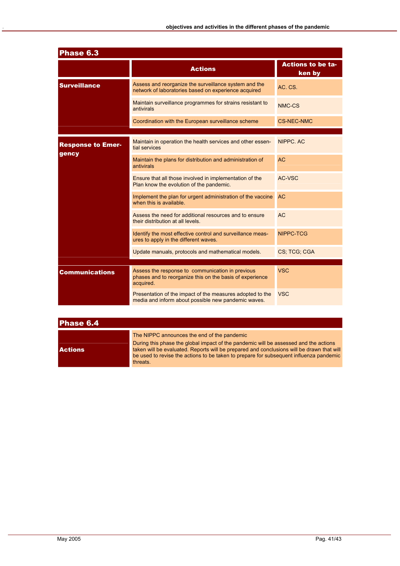| Phase 6.3                         |                                                                                                                           |                                    |
|-----------------------------------|---------------------------------------------------------------------------------------------------------------------------|------------------------------------|
|                                   | <b>Actions</b>                                                                                                            | <b>Actions to be ta-</b><br>ken by |
| <b>Surveillance</b>               | Assess and reorganize the surveillance system and the<br>network of laboratories based on experience acquired             | AC. CS.                            |
|                                   | Maintain surveillance programmes for strains resistant to<br>antivirals                                                   | NMC-CS                             |
|                                   | Coordination with the European surveillance scheme                                                                        | <b>CS-NEC-NMC</b>                  |
| <b>Response to Emer-</b><br>gency | Maintain in operation the health services and other essen-<br>tial services                                               | NIPPC, AC                          |
|                                   | Maintain the plans for distribution and administration of<br>antivirals                                                   | <b>AC</b>                          |
|                                   | Ensure that all those involved in implementation of the<br>Plan know the evolution of the pandemic.                       | AC-VSC                             |
|                                   | Implement the plan for urgent administration of the vaccine<br>when this is available.                                    | <b>AC</b>                          |
|                                   | Assess the need for additional resources and to ensure<br>their distribution at all levels.                               | <b>AC</b>                          |
|                                   | Identify the most effective control and surveillance meas-<br>ures to apply in the different waves.                       | NIPPC-TCG                          |
|                                   | Update manuals, protocols and mathematical models.                                                                        | CS: TCG: CGA                       |
| Communications                    | Assess the response to communication in previous<br>phases and to reorganize this on the basis of experience<br>acquired. | <b>VSC</b>                         |
|                                   | Presentation of the impact of the measures adopted to the<br>media and inform about possible new pandemic waves.          | <b>VSC</b>                         |

| Phase 6.4      |                                                                                                                                                                                                                                                                                                                                        |
|----------------|----------------------------------------------------------------------------------------------------------------------------------------------------------------------------------------------------------------------------------------------------------------------------------------------------------------------------------------|
| <b>Actions</b> | The NIPPC announces the end of the pandemic<br>During this phase the global impact of the pandemic will be assessed and the actions<br>taken will be evaluated. Reports will be prepared and conclusions will be drawn that will<br>be used to revise the actions to be taken to prepare for subsequent influenza pandemic<br>threats. |